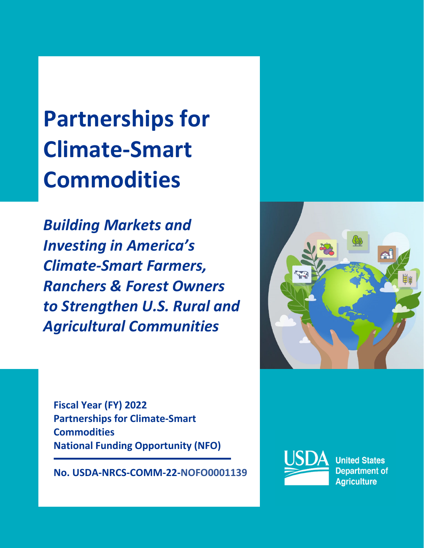**Partnerships for Climate‐Smart Commodities** 

*Building Markets and Investing in America's Climate‐Smart Farmers, Ranchers & Forest Owners to Strengthen U.S. Rural and Agricultural Communities*

**Fiscal Year (FY) 2022 Partnerships for Climate‐Smart Commodities National Funding Opportunity (NFO)**

 $\overline{a}$ 

**No. USDA‐NRCS‐COMM‐22‐NOFO0001139**



**United States Department of Agriculture**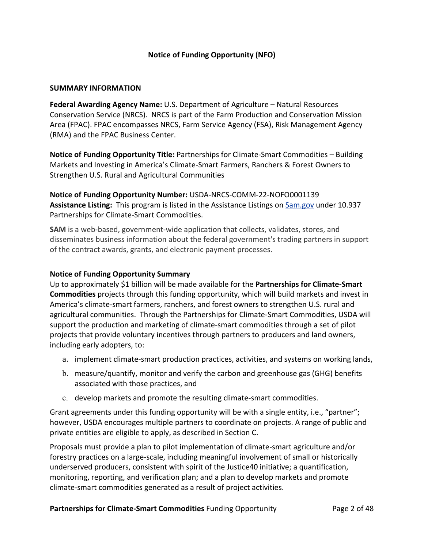# **Notice of Funding Opportunity (NFO)**

#### **SUMMARY INFORMATION**

**Federal Awarding Agency Name:** U.S. Department of Agriculture – Natural Resources Conservation Service (NRCS). NRCS is part of the Farm Production and Conservation Mission Area (FPAC). FPAC encompasses NRCS, Farm Service Agency (FSA), Risk Management Agency (RMA) and the FPAC Business Center.

**Notice of Funding Opportunity Title:** Partnerships for Climate‐Smart Commodities – Building Markets and Investing in America's Climate‐Smart Farmers, Ranchers & Forest Owners to Strengthen U.S. Rural and Agricultural Communities

**Notice of Funding Opportunity Number:** USDA‐NRCS‐COMM‐22‐NOFO0001139 Assistance Listing: This program is listed in the Assistance Listings on **Sam.gov** under 10.937 Partnerships for Climate‐Smart Commodities.

**SAM** is a web-based, government-wide application that collects, validates, stores, and disseminates business information about the federal government's trading partners in support of the contract awards, grants, and electronic payment processes.

### **Notice of Funding Opportunity Summary**

Up to approximately \$1 billion will be made available for the **Partnerships for Climate‐Smart Commodities** projects through this funding opportunity, which will build markets and invest in America's climate‐smart farmers, ranchers, and forest owners to strengthen U.S. rural and agricultural communities. Through the Partnerships for Climate‐Smart Commodities, USDA will support the production and marketing of climate‐smart commodities through a set of pilot projects that provide voluntary incentives through partners to producers and land owners, including early adopters, to:

- a. implement climate‐smart production practices, activities, and systems on working lands,
- b. measure/quantify, monitor and verify the carbon and greenhouse gas (GHG) benefits associated with those practices, and
- c. develop markets and promote the resulting climate‐smart commodities.

Grant agreements under this funding opportunity will be with a single entity, i.e., "partner"; however, USDA encourages multiple partners to coordinate on projects. A range of public and private entities are eligible to apply, as described in Section C.

Proposals must provide a plan to pilot implementation of climate‐smart agriculture and/or forestry practices on a large-scale, including meaningful involvement of small or historically underserved producers, consistent with spirit of the Justice40 initiative; a quantification, monitoring, reporting, and verification plan; and a plan to develop markets and promote climate‐smart commodities generated as a result of project activities.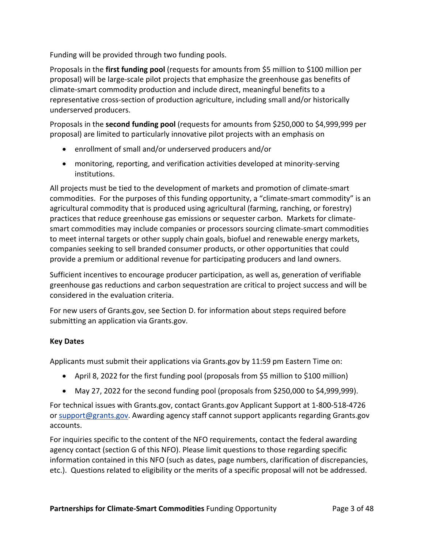Funding will be provided through two funding pools.

Proposals in the **first funding pool** (requests for amounts from \$5 million to \$100 million per proposal) will be large‐scale pilot projects that emphasize the greenhouse gas benefits of climate‐smart commodity production and include direct, meaningful benefits to a representative cross‐section of production agriculture, including small and/or historically underserved producers.

Proposals in the **second funding pool** (requests for amounts from \$250,000 to \$4,999,999 per proposal) are limited to particularly innovative pilot projects with an emphasis on

- enrollment of small and/or underserved producers and/or
- monitoring, reporting, and verification activities developed at minority-serving institutions.

All projects must be tied to the development of markets and promotion of climate‐smart commodities. For the purposes of this funding opportunity, a "climate‐smart commodity" is an agricultural commodity that is produced using agricultural (farming, ranching, or forestry) practices that reduce greenhouse gas emissions or sequester carbon. Markets for climate‐ smart commodities may include companies or processors sourcing climate-smart commodities to meet internal targets or other supply chain goals, biofuel and renewable energy markets, companies seeking to sell branded consumer products, or other opportunities that could provide a premium or additional revenue for participating producers and land owners.

Sufficient incentives to encourage producer participation, as well as, generation of verifiable greenhouse gas reductions and carbon sequestration are critical to project success and will be considered in the evaluation criteria.

For new users of Grants.gov, see Section D. for information about steps required before submitting an application via Grants.gov.

# **Key Dates**

Applicants must submit their applications via Grants.gov by 11:59 pm Eastern Time on:

- April 8, 2022 for the first funding pool (proposals from \$5 million to \$100 million)
- May 27, 2022 for the second funding pool (proposals from \$250,000 to \$4,999,999).

For technical issues with Grants.gov, contact Grants.gov Applicant Support at 1‐800‐518‐4726 or support@grants.gov. Awarding agency staff cannot support applicants regarding Grants.gov accounts.

For inquiries specific to the content of the NFO requirements, contact the federal awarding agency contact (section G of this NFO). Please limit questions to those regarding specific information contained in this NFO (such as dates, page numbers, clarification of discrepancies, etc.). Questions related to eligibility or the merits of a specific proposal will not be addressed.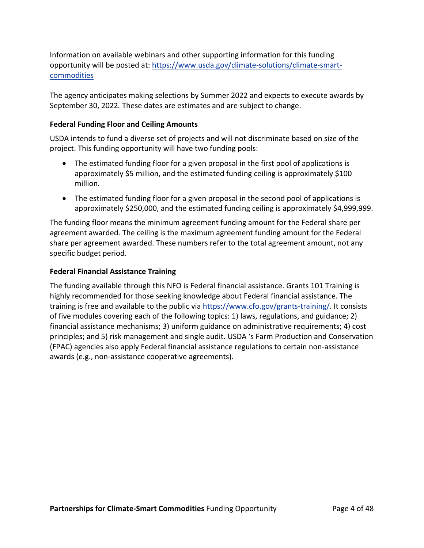Information on available webinars and other supporting information for this funding opportunity will be posted at: https://www.usda.gov/climate‐solutions/climate‐smart‐ commodities

The agency anticipates making selections by Summer 2022 and expects to execute awards by September 30, 2022*.* These dates are estimates and are subject to change.

## **Federal Funding Floor and Ceiling Amounts**

USDA intends to fund a diverse set of projects and will not discriminate based on size of the project. This funding opportunity will have two funding pools:

- The estimated funding floor for a given proposal in the first pool of applications is approximately \$5 million, and the estimated funding ceiling is approximately \$100 million.
- The estimated funding floor for a given proposal in the second pool of applications is approximately \$250,000, and the estimated funding ceiling is approximately \$4,999,999.

The funding floor means the minimum agreement funding amount for the Federal share per agreement awarded. The ceiling is the maximum agreement funding amount for the Federal share per agreement awarded. These numbers refer to the total agreement amount, not any specific budget period.

## **Federal Financial Assistance Training**

The funding available through this NFO is Federal financial assistance. Grants 101 Training is highly recommended for those seeking knowledge about Federal financial assistance. The training is free and available to the public via https://www.cfo.gov/grants-training/. It consists of five modules covering each of the following topics: 1) laws, regulations, and guidance; 2) financial assistance mechanisms; 3) uniform guidance on administrative requirements; 4) cost principles; and 5) risk management and single audit. USDA 's Farm Production and Conservation (FPAC) agencies also apply Federal financial assistance regulations to certain non‐assistance awards (e.g., non‐assistance cooperative agreements).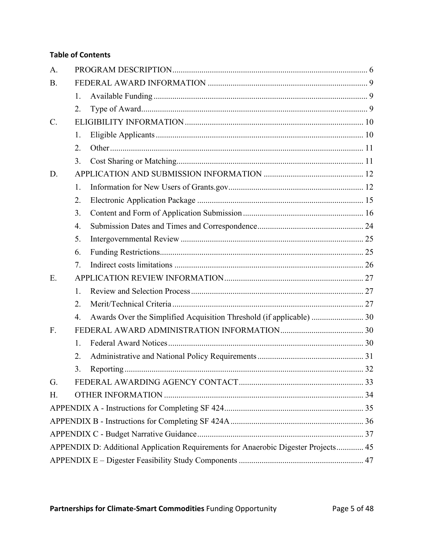# **Table of Contents**

| A.          |    |                                                                                    |  |
|-------------|----|------------------------------------------------------------------------------------|--|
| <b>B.</b>   |    |                                                                                    |  |
|             | 1. |                                                                                    |  |
|             | 2. |                                                                                    |  |
| $C_{\cdot}$ |    |                                                                                    |  |
|             | 1. |                                                                                    |  |
|             | 2. |                                                                                    |  |
|             | 3. |                                                                                    |  |
| D.          |    |                                                                                    |  |
|             | 1. |                                                                                    |  |
|             | 2. |                                                                                    |  |
|             | 3. |                                                                                    |  |
|             | 4. |                                                                                    |  |
|             | 5. |                                                                                    |  |
|             | 6. |                                                                                    |  |
|             | 7. |                                                                                    |  |
| E.          |    |                                                                                    |  |
|             | 1. |                                                                                    |  |
|             | 2. |                                                                                    |  |
|             | 4. | Awards Over the Simplified Acquisition Threshold (if applicable)  30               |  |
| F.          |    |                                                                                    |  |
|             | 1. |                                                                                    |  |
|             | 2. |                                                                                    |  |
|             | 3. |                                                                                    |  |
| G.          |    |                                                                                    |  |
| Η.          |    |                                                                                    |  |
|             |    |                                                                                    |  |
|             |    |                                                                                    |  |
|             |    |                                                                                    |  |
|             |    | APPENDIX D: Additional Application Requirements for Anaerobic Digester Projects 45 |  |
|             |    |                                                                                    |  |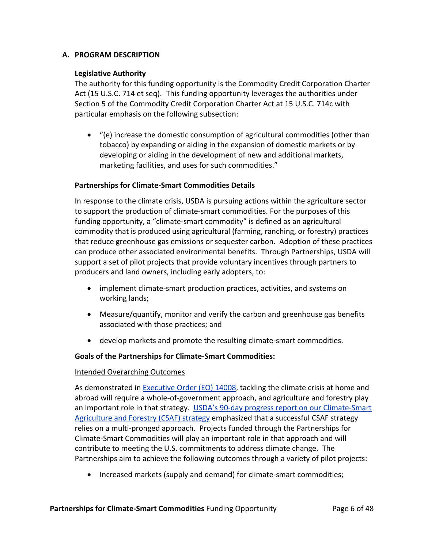### **A. PROGRAM DESCRIPTION**

### **Legislative Authority**

The authority for this funding opportunity is the Commodity Credit Corporation Charter Act (15 U.S.C. 714 et seq). This funding opportunity leverages the authorities under Section 5 of the Commodity Credit Corporation Charter Act at 15 U.S.C. 714c with particular emphasis on the following subsection:

 "(e) increase the domestic consumption of agricultural commodities (other than tobacco) by expanding or aiding in the expansion of domestic markets or by developing or aiding in the development of new and additional markets, marketing facilities, and uses for such commodities."

#### **Partnerships for Climate‐Smart Commodities Details**

In response to the climate crisis, USDA is pursuing actions within the agriculture sector to support the production of climate‐smart commodities. For the purposes of this funding opportunity, a "climate‐smart commodity" is defined as an agricultural commodity that is produced using agricultural (farming, ranching, or forestry) practices that reduce greenhouse gas emissions or sequester carbon. Adoption of these practices can produce other associated environmental benefits. Through Partnerships, USDA will support a set of pilot projects that provide voluntary incentives through partners to producers and land owners, including early adopters, to:

- implement climate-smart production practices, activities, and systems on working lands;
- Measure/quantify, monitor and verify the carbon and greenhouse gas benefits associated with those practices; and
- develop markets and promote the resulting climate-smart commodities.

### **Goals of the Partnerships for Climate‐Smart Commodities:**

#### Intended Overarching Outcomes

As demonstrated in Executive Order (EO) 14008, tackling the climate crisis at home and abroad will require a whole‐of‐government approach, and agriculture and forestry play an important role in that strategy. USDA's 90‐day progress report on our Climate‐Smart Agriculture and Forestry (CSAF) strategy emphasized that a successful CSAF strategy relies on a multi‐pronged approach. Projects funded through the Partnerships for Climate‐Smart Commodities will play an important role in that approach and will contribute to meeting the U.S. commitments to address climate change. The Partnerships aim to achieve the following outcomes through a variety of pilot projects:

■ Increased markets (supply and demand) for climate-smart commodities;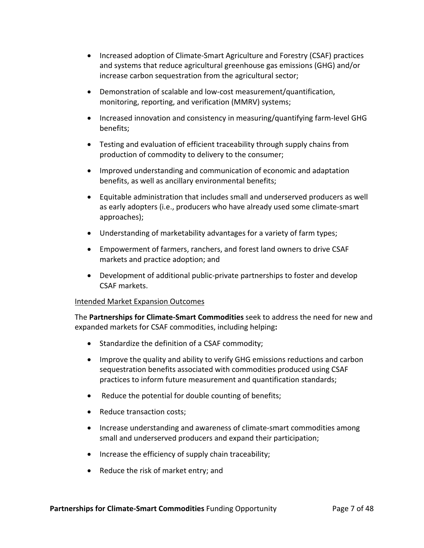- Increased adoption of Climate-Smart Agriculture and Forestry (CSAF) practices and systems that reduce agricultural greenhouse gas emissions (GHG) and/or increase carbon sequestration from the agricultural sector;
- Demonstration of scalable and low‐cost measurement/quantification, monitoring, reporting, and verification (MMRV) systems;
- Increased innovation and consistency in measuring/quantifying farm-level GHG benefits;
- Testing and evaluation of efficient traceability through supply chains from production of commodity to delivery to the consumer;
- Improved understanding and communication of economic and adaptation benefits, as well as ancillary environmental benefits;
- Equitable administration that includes small and underserved producers as well as early adopters (i.e., producers who have already used some climate‐smart approaches);
- Understanding of marketability advantages for a variety of farm types;
- Empowerment of farmers, ranchers, and forest land owners to drive CSAF markets and practice adoption; and
- Development of additional public-private partnerships to foster and develop CSAF markets.

### Intended Market Expansion Outcomes

The **Partnerships for Climate‐Smart Commodities** seek to address the need for new and expanded markets for CSAF commodities, including helping**:**

- Standardize the definition of a CSAF commodity;
- Improve the quality and ability to verify GHG emissions reductions and carbon sequestration benefits associated with commodities produced using CSAF practices to inform future measurement and quantification standards;
- Reduce the potential for double counting of benefits;
- Reduce transaction costs:
- Increase understanding and awareness of climate-smart commodities among small and underserved producers and expand their participation;
- $\bullet$  Increase the efficiency of supply chain traceability;
- Reduce the risk of market entry; and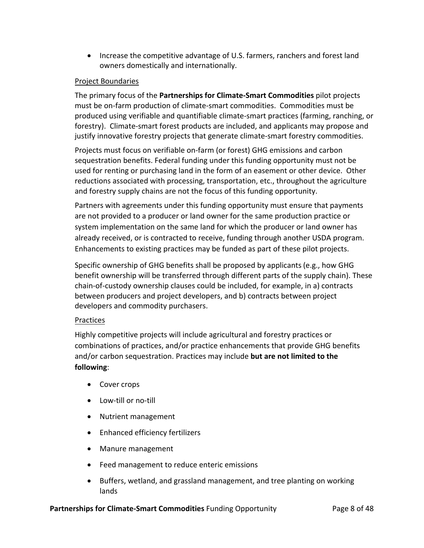• Increase the competitive advantage of U.S. farmers, ranchers and forest land owners domestically and internationally.

# Project Boundaries

The primary focus of the **Partnerships for Climate‐Smart Commodities** pilot projects must be on‐farm production of climate‐smart commodities. Commodities must be produced using verifiable and quantifiable climate‐smart practices (farming, ranching, or forestry). Climate‐smart forest products are included, and applicants may propose and justify innovative forestry projects that generate climate‐smart forestry commodities.

Projects must focus on verifiable on‐farm (or forest) GHG emissions and carbon sequestration benefits. Federal funding under this funding opportunity must not be used for renting or purchasing land in the form of an easement or other device. Other reductions associated with processing, transportation, etc., throughout the agriculture and forestry supply chains are not the focus of this funding opportunity.

Partners with agreements under this funding opportunity must ensure that payments are not provided to a producer or land owner for the same production practice or system implementation on the same land for which the producer or land owner has already received, or is contracted to receive, funding through another USDA program. Enhancements to existing practices may be funded as part of these pilot projects.

Specific ownership of GHG benefits shall be proposed by applicants(e.g., how GHG benefit ownership will be transferred through different parts of the supply chain). These chain‐of‐custody ownership clauses could be included, for example, in a) contracts between producers and project developers, and b) contracts between project developers and commodity purchasers.

### Practices

Highly competitive projects will include agricultural and forestry practices or combinations of practices, and/or practice enhancements that provide GHG benefits and/or carbon sequestration. Practices may include **but are not limited to the following**:

- Cover crops
- Low-till or no-till
- Nutrient management
- Enhanced efficiency fertilizers
- Manure management
- Feed management to reduce enteric emissions
- Buffers, wetland, and grassland management, and tree planting on working lands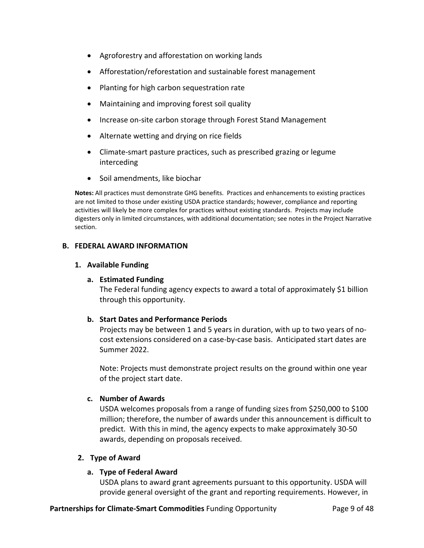- Agroforestry and afforestation on working lands
- Afforestation/reforestation and sustainable forest management
- Planting for high carbon sequestration rate
- Maintaining and improving forest soil quality
- Increase on-site carbon storage through Forest Stand Management
- Alternate wetting and drying on rice fields
- Climate-smart pasture practices, such as prescribed grazing or legume interceding
- Soil amendments, like biochar

**Notes:** All practices must demonstrate GHG benefits. Practices and enhancements to existing practices are not limited to those under existing USDA practice standards; however, compliance and reporting activities will likely be more complex for practices without existing standards. Projects may include digesters only in limited circumstances, with additional documentation; see notes in the Project Narrative section.

### **B. FEDERAL AWARD INFORMATION**

#### **1. Available Funding**

### **a. Estimated Funding**

The Federal funding agency expects to award a total of approximately \$1 billion through this opportunity.

### **b. Start Dates and Performance Periods**

Projects may be between 1 and 5 years in duration, with up to two years of no‐ cost extensions considered on a case‐by‐case basis. Anticipated start dates are Summer 2022.

Note: Projects must demonstrate project results on the ground within one year of the project start date.

### **c. Number of Awards**

USDA welcomes proposals from a range of funding sizes from \$250,000 to \$100 million; therefore, the number of awards under this announcement is difficult to predict. With this in mind, the agency expects to make approximately 30‐50 awards, depending on proposals received.

### **2. Type of Award**

### **a. Type of Federal Award**

USDA plans to award grant agreements pursuant to this opportunity. USDA will provide general oversight of the grant and reporting requirements. However, in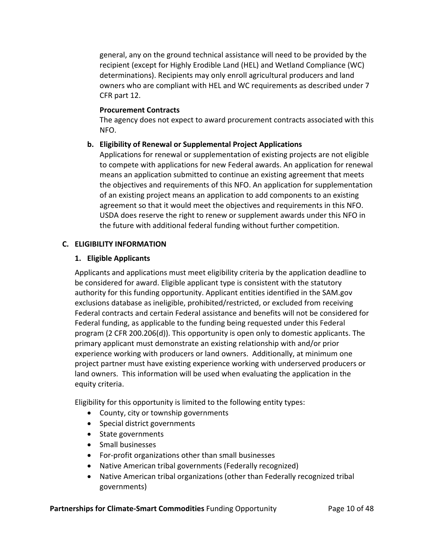general, any on the ground technical assistance will need to be provided by the recipient (except for Highly Erodible Land (HEL) and Wetland Compliance (WC) determinations). Recipients may only enroll agricultural producers and land owners who are compliant with HEL and WC requirements as described under 7 CFR part 12.

### **Procurement Contracts**

The agency does not expect to award procurement contracts associated with this NFO.

### **b. Eligibility of Renewal or Supplemental Project Applications**

Applications for renewal or supplementation of existing projects are not eligible to compete with applications for new Federal awards. An application for renewal means an application submitted to continue an existing agreement that meets the objectives and requirements of this NFO. An application for supplementation of an existing project means an application to add components to an existing agreement so that it would meet the objectives and requirements in this NFO. USDA does reserve the right to renew or supplement awards under this NFO in the future with additional federal funding without further competition.

#### **C. ELIGIBILITY INFORMATION**

#### **1. Eligible Applicants**

Applicants and applications must meet eligibility criteria by the application deadline to be considered for award. Eligible applicant type is consistent with the statutory authority for this funding opportunity. Applicant entities identified in the SAM.gov exclusions database as ineligible, prohibited/restricted, or excluded from receiving Federal contracts and certain Federal assistance and benefits will not be considered for Federal funding, as applicable to the funding being requested under this Federal program (2 CFR 200.206(d)). This opportunity is open only to domestic applicants. The primary applicant must demonstrate an existing relationship with and/or prior experience working with producers or land owners. Additionally, at minimum one project partner must have existing experience working with underserved producers or land owners. This information will be used when evaluating the application in the equity criteria.

Eligibility for this opportunity is limited to the following entity types:

- County, city or township governments
- Special district governments
- State governments
- Small businesses
- For-profit organizations other than small businesses
- Native American tribal governments (Federally recognized)
- Native American tribal organizations (other than Federally recognized tribal governments)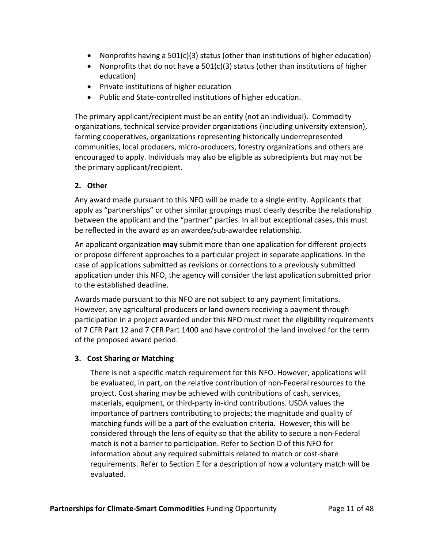- Nonprofits having a  $501(c)(3)$  status (other than institutions of higher education)
- Nonprofits that do not have a  $501(c)(3)$  status (other than institutions of higher education)
- Private institutions of higher education
- Public and State-controlled institutions of higher education.

The primary applicant/recipient must be an entity (not an individual). Commodity organizations, technical service provider organizations (including university extension), farming cooperatives, organizations representing historically underrepresented communities, local producers, micro‐producers, forestry organizations and others are encouraged to apply. Individuals may also be eligible as subrecipients but may not be the primary applicant/recipient.

# **2. Other**

Any award made pursuant to this NFO will be made to a single entity. Applicants that apply as "partnerships" or other similar groupings must clearly describe the relationship between the applicant and the "partner" parties. In all but exceptional cases, this must be reflected in the award as an awardee/sub‐awardee relationship.

An applicant organization **may** submit more than one application for different projects or propose different approaches to a particular project in separate applications. In the case of applications submitted as revisions or corrections to a previously submitted application under this NFO, the agency will consider the last application submitted prior to the established deadline.

Awards made pursuant to this NFO are not subject to any payment limitations. However, any agricultural producers or land owners receiving a payment through participation in a project awarded under this NFO must meet the eligibility requirements of 7 CFR Part 12 and 7 CFR Part 1400 and have control of the land involved for the term of the proposed award period.

# **3. Cost Sharing or Matching**

There is not a specific match requirement for this NFO. However, applications will be evaluated, in part, on the relative contribution of non‐Federal resources to the project. Cost sharing may be achieved with contributions of cash, services, materials, equipment, or third‐party in‐kind contributions. USDA values the importance of partners contributing to projects; the magnitude and quality of matching funds will be a part of the evaluation criteria. However, this will be considered through the lens of equity so that the ability to secure a non‐Federal match is not a barrier to participation. Refer to Section D of this NFO for information about any required submittals related to match or cost‐share requirements. Refer to Section E for a description of how a voluntary match will be evaluated.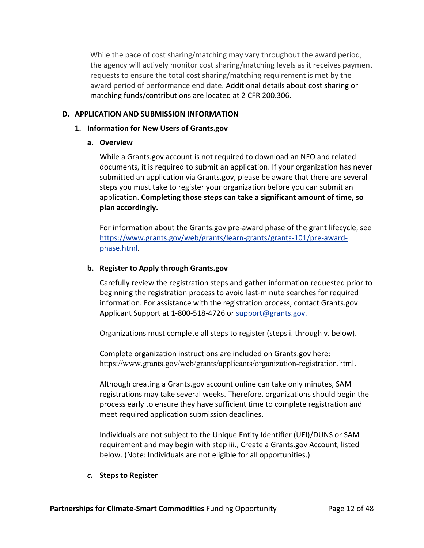While the pace of cost sharing/matching may vary throughout the award period, the agency will actively monitor cost sharing/matching levels as it receives payment requests to ensure the total cost sharing/matching requirement is met by the award period of performance end date. Additional details about cost sharing or matching funds/contributions are located at 2 CFR 200.306.

### **D. APPLICATION AND SUBMISSION INFORMATION**

### **1. Information for New Users of Grants.gov**

### **a. Overview**

While a Grants.gov account is not required to download an NFO and related documents, it is required to submit an application. If your organization has never submitted an application via Grants.gov, please be aware that there are several steps you must take to register your organization before you can submit an application. **Completing those steps can take a significant amount of time, so plan accordingly.**

For information about the Grants.gov pre‐award phase of the grant lifecycle, see https://www.grants.gov/web/grants/learn‐grants/grants‐101/pre‐award‐ phase.html.

## **b. Register to Apply through Grants.gov**

Carefully review the registration steps and gather information requested prior to beginning the registration process to avoid last‐minute searches for required information. For assistance with the registration process, contact Grants.gov Applicant Support at 1‐800‐518‐4726 or support@grants.gov.

Organizations must complete all steps to register (steps i. through v. below).

Complete organization instructions are included on Grants.gov here: https://www.grants.gov/web/grants/applicants/organization-registration.html.

Although creating a Grants.gov account online can take only minutes, SAM registrations may take several weeks. Therefore, organizations should begin the process early to ensure they have sufficient time to complete registration and meet required application submission deadlines.

Individuals are not subject to the Unique Entity Identifier (UEI)/DUNS or SAM requirement and may begin with step iii., Create a Grants.gov Account, listed below. (Note: Individuals are not eligible for all opportunities.)

### *c.* **Steps to Register**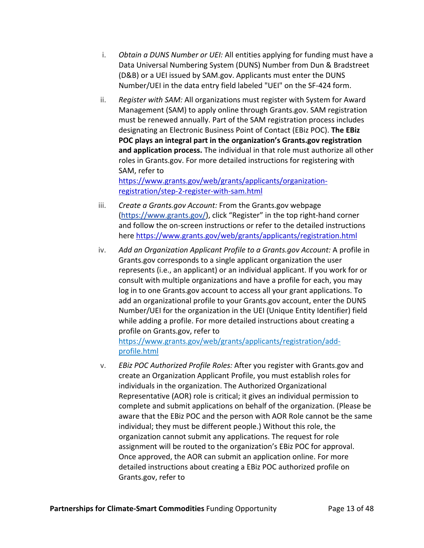- i. *Obtain a DUNS Number or UEI:* All entities applying for funding must have a Data Universal Numbering System (DUNS) Number from Dun & Bradstreet (D&B) or a UEI issued by SAM.gov. Applicants must enter the DUNS Number/UEI in the data entry field labeled "UEI" on the SF‐424 form.
- ii. *Register with SAM:* All organizations must register with System for Award Management (SAM) to apply online through Grants.gov. SAM registration must be renewed annually. Part of the SAM registration process includes designating an Electronic Business Point of Contact (EBiz POC). **The EBiz POC plays an integral part in the organization's Grants.gov registration and application process.** The individual in that role must authorize all other roles in Grants.gov. For more detailed instructions for registering with SAM, refer to

https://www.grants.gov/web/grants/applicants/organization‐ registration/step‐2‐register‐with‐sam.html

- iii. *Create a Grants.gov Account:* From the Grants.gov webpage (https://www.grants.gov/), click "Register" in the top right‐hand corner and follow the on‐screen instructions or refer to the detailed instructions here https://www.grants.gov/web/grants/applicants/registration.html
- iv. *Add an Organization Applicant Profile to a Grants.gov Account:* A profile in Grants.gov corresponds to a single applicant organization the user represents (i.e., an applicant) or an individual applicant. If you work for or consult with multiple organizations and have a profile for each, you may log in to one Grants.gov account to access all your grant applications. To add an organizational profile to your Grants.gov account, enter the DUNS Number/UEI for the organization in the UEI (Unique Entity Identifier) field while adding a profile. For more detailed instructions about creating a profile on Grants.gov, refer to

https://www.grants.gov/web/grants/applicants/registration/add‐ profile.html

v. *EBiz POC Authorized Profile Roles:* After you register with Grants.gov and create an Organization Applicant Profile, you must establish roles for individuals in the organization. The Authorized Organizational Representative (AOR) role is critical; it gives an individual permission to complete and submit applications on behalf of the organization. (Please be aware that the EBiz POC and the person with AOR Role cannot be the same individual; they must be different people.) Without this role, the organization cannot submit any applications. The request for role assignment will be routed to the organization's EBiz POC for approval. Once approved, the AOR can submit an application online. For more detailed instructions about creating a EBiz POC authorized profile on Grants.gov, refer to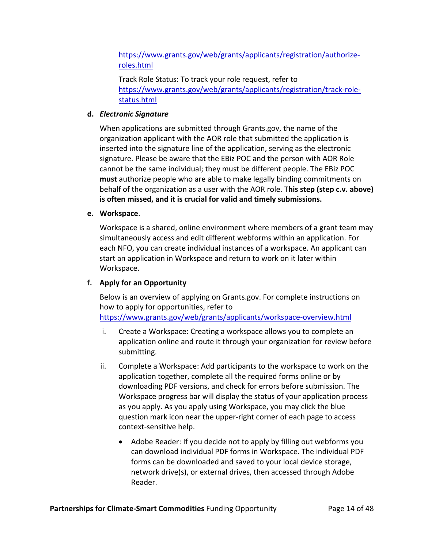https://www.grants.gov/web/grants/applicants/registration/authorizeroles.html

Track Role Status: To track your role request, refer to https://www.grants.gov/web/grants/applicants/registration/track-rolestatus.html

## **d.** *Electronic Signature*

When applications are submitted through Grants.gov, the name of the organization applicant with the AOR role that submitted the application is inserted into the signature line of the application, serving as the electronic signature. Please be aware that the EBiz POC and the person with AOR Role cannot be the same individual; they must be different people. The EBiz POC **must** authorize people who are able to make legally binding commitments on behalf of the organization as a user with the AOR role. T**his step (step c.v. above) is often missed, and it is crucial for valid and timely submissions.**

### **e. Workspace**.

Workspace is a shared, online environment where members of a grant team may simultaneously access and edit different webforms within an application. For each NFO, you can create individual instances of a workspace. An applicant can start an application in Workspace and return to work on it later within Workspace.

# **f. Apply for an Opportunity**

Below is an overview of applying on Grants.gov. For complete instructions on how to apply for opportunities, refer to https://www.grants.gov/web/grants/applicants/workspace‐overview.html

- i. Create a Workspace: Creating a workspace allows you to complete an application online and route it through your organization for review before submitting.
- ii. Complete a Workspace: Add participants to the workspace to work on the application together, complete all the required forms online or by downloading PDF versions, and check for errors before submission. The Workspace progress bar will display the status of your application process as you apply. As you apply using Workspace, you may click the blue question mark icon near the upper‐right corner of each page to access context‐sensitive help.
	- Adobe Reader: If you decide not to apply by filling out webforms you can download individual PDF forms in Workspace. The individual PDF forms can be downloaded and saved to your local device storage, network drive(s), or external drives, then accessed through Adobe Reader.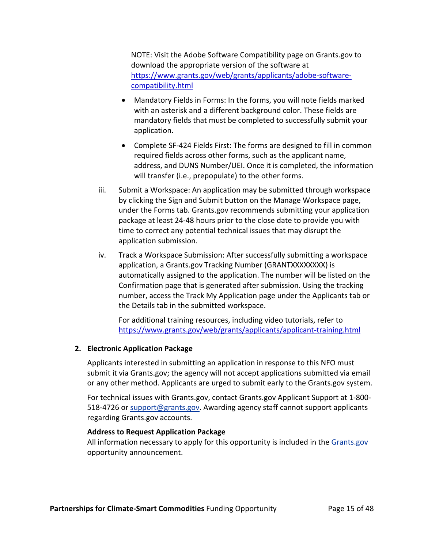NOTE: Visit the Adobe Software Compatibility page on Grants.gov to download the appropriate version of the software at https://www.grants.gov/web/grants/applicants/adobe‐software‐ compatibility.html

- Mandatory Fields in Forms: In the forms, you will note fields marked with an asterisk and a different background color. These fields are mandatory fields that must be completed to successfully submit your application.
- Complete SF‐424 Fields First: The forms are designed to fill in common required fields across other forms, such as the applicant name, address, and DUNS Number/UEI. Once it is completed, the information will transfer (i.e., prepopulate) to the other forms.
- iii. Submit a Workspace: An application may be submitted through workspace by clicking the Sign and Submit button on the Manage Workspace page, under the Forms tab. Grants.gov recommends submitting your application package at least 24‐48 hours prior to the close date to provide you with time to correct any potential technical issues that may disrupt the application submission.
- iv. Track a Workspace Submission: After successfully submitting a workspace application, a Grants.gov Tracking Number (GRANTXXXXXXXX) is automatically assigned to the application. The number will be listed on the Confirmation page that is generated after submission. Using the tracking number, access the Track My Application page under the Applicants tab or the Details tab in the submitted workspace.

For additional training resources, including video tutorials, refer to https://www.grants.gov/web/grants/applicants/applicant‐training.html

### **2. Electronic Application Package**

Applicants interested in submitting an application in response to this NFO must submit it via Grants.gov; the agency will not accept applications submitted via email or any other method. Applicants are urged to submit early to the Grants.gov system.

For technical issues with Grants.gov, contact Grants.gov Applicant Support at 1‐800‐ 518-4726 or support@grants.gov. Awarding agency staff cannot support applicants regarding Grants.gov accounts.

### **Address to Request Application Package**

All information necessary to apply for this opportunity is included in the Grants.gov opportunity announcement.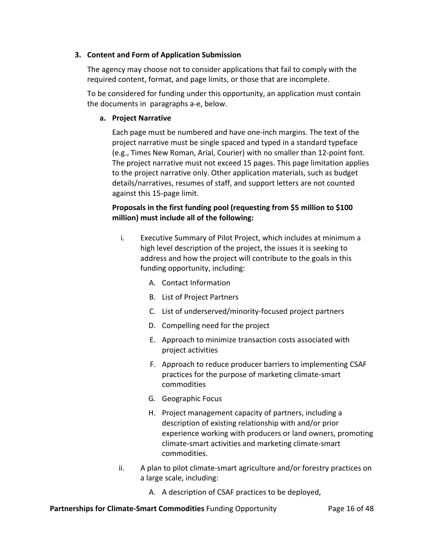### **3. Content and Form of Application Submission**

The agency may choose not to consider applications that fail to comply with the required content, format, and page limits, or those that are incomplete.

To be considered for funding under this opportunity, an application must contain the documents in paragraphs a‐e, below.

## **a. Project Narrative**

Each page must be numbered and have one‐inch margins. The text of the project narrative must be single spaced and typed in a standard typeface (e.g., Times New Roman, Arial, Courier) with no smaller than 12‐point font. The project narrative must not exceed 15 pages. This page limitation applies to the project narrative only. Other application materials, such as budget details/narratives, resumes of staff, and support letters are not counted against this 15‐page limit.

# **Proposals in the first funding pool (requesting from \$5 million to \$100 million) must include all of the following:**

- i. Executive Summary of Pilot Project, which includes at minimum a high level description of the project, the issues it is seeking to address and how the project will contribute to the goals in this funding opportunity, including:
	- A. Contact Information
	- B. List of Project Partners
	- C. List of underserved/minority‐focused project partners
	- D. Compelling need for the project
	- E. Approach to minimize transaction costs associated with project activities
	- F. Approach to reduce producer barriers to implementing CSAF practices for the purpose of marketing climate‐smart commodities
	- G. Geographic Focus
	- H. Project management capacity of partners, including a description of existing relationship with and/or prior experience working with producers or land owners, promoting climate‐smart activities and marketing climate‐smart commodities.
- ii. A plan to pilot climate‐smart agriculture and/or forestry practices on a large scale, including:
	- A. A description of CSAF practices to be deployed,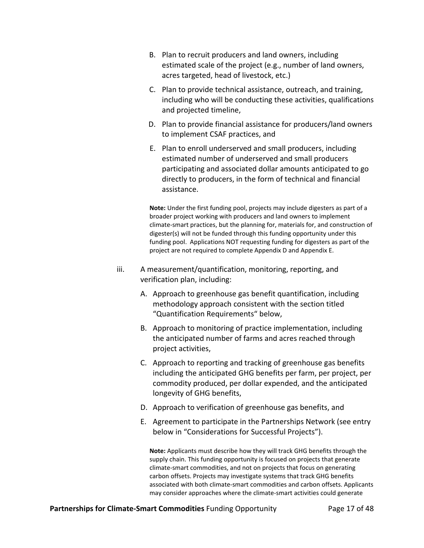- B. Plan to recruit producers and land owners, including estimated scale of the project (e.g., number of land owners, acres targeted, head of livestock, etc.)
- C. Plan to provide technical assistance, outreach, and training, including who will be conducting these activities, qualifications and projected timeline,
- D. Plan to provide financial assistance for producers/land owners to implement CSAF practices, and
- E. Plan to enroll underserved and small producers, including estimated number of underserved and small producers participating and associated dollar amounts anticipated to go directly to producers, in the form of technical and financial assistance.

**Note:** Under the first funding pool, projects may include digesters as part of a broader project working with producers and land owners to implement climate‐smart practices, but the planning for, materials for, and construction of digester(s) will not be funded through this funding opportunity under this funding pool. Applications NOT requesting funding for digesters as part of the project are not required to complete Appendix D and Appendix E.

- iii. A measurement/quantification, monitoring, reporting, and verification plan, including:
	- A. Approach to greenhouse gas benefit quantification, including methodology approach consistent with the section titled "Quantification Requirements" below,
	- B. Approach to monitoring of practice implementation, including the anticipated number of farms and acres reached through project activities,
	- C. Approach to reporting and tracking of greenhouse gas benefits including the anticipated GHG benefits per farm, per project, per commodity produced, per dollar expended, and the anticipated longevity of GHG benefits,
	- D. Approach to verification of greenhouse gas benefits, and
	- E. Agreement to participate in the Partnerships Network (see entry below in "Considerations for Successful Projects").

**Note:** Applicants must describe how they will track GHG benefits through the supply chain. This funding opportunity is focused on projects that generate climate‐smart commodities, and not on projects that focus on generating carbon offsets. Projects may investigate systems that track GHG benefits associated with both climate‐smart commodities and carbon offsets. Applicants may consider approaches where the climate‐smart activities could generate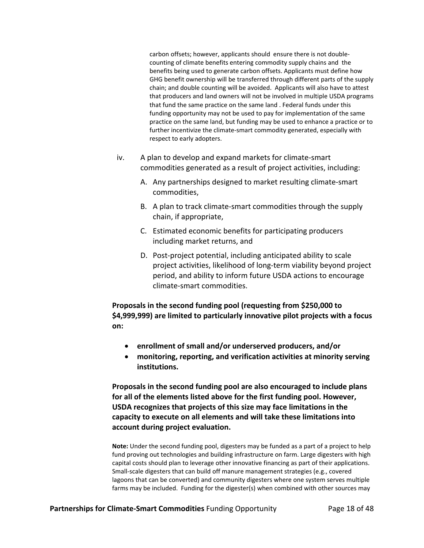carbon offsets; however, applicants should ensure there is not double‐ counting of climate benefits entering commodity supply chains and the benefits being used to generate carbon offsets. Applicants must define how GHG benefit ownership will be transferred through different parts of the supply chain; and double counting will be avoided. Applicants will also have to attest that producers and land owners will not be involved in multiple USDA programs that fund the same practice on the same land . Federal funds under this funding opportunity may not be used to pay for implementation of the same practice on the same land, but funding may be used to enhance a practice or to further incentivize the climate‐smart commodity generated, especially with respect to early adopters.

- iv. A plan to develop and expand markets for climate‐smart commodities generated as a result of project activities, including:
	- A. Any partnerships designed to market resulting climate‐smart commodities,
	- B. A plan to track climate‐smart commodities through the supply chain, if appropriate,
	- C. Estimated economic benefits for participating producers including market returns, and
	- D. Post‐project potential, including anticipated ability to scale project activities, likelihood of long‐term viability beyond project period, and ability to inform future USDA actions to encourage climate‐smart commodities.

**Proposals in the second funding pool (requesting from \$250,000 to \$4,999,999) are limited to particularly innovative pilot projects with a focus on:** 

- **enrollment of small and/or underserved producers, and/or**
- **monitoring, reporting, and verification activities at minority serving institutions.**

**Proposals in the second funding pool are also encouraged to include plans for all of the elements listed above for the first funding pool. However, USDA recognizes that projects of this size may face limitations in the capacity to execute on all elements and will take these limitations into account during project evaluation.**

**Note:** Under the second funding pool, digesters may be funded as a part of a project to help fund proving out technologies and building infrastructure on farm. Large digesters with high capital costs should plan to leverage other innovative financing as part of their applications. Small‐scale digesters that can build off manure management strategies (e.g., covered lagoons that can be converted) and community digesters where one system serves multiple farms may be included. Funding for the digester(s) when combined with other sources may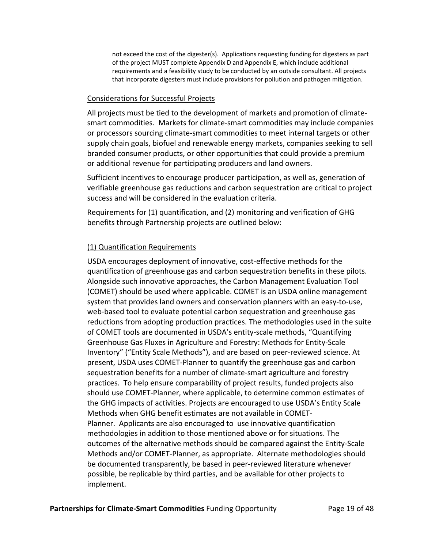not exceed the cost of the digester(s). Applications requesting funding for digesters as part of the project MUST complete Appendix D and Appendix E, which include additional requirements and a feasibility study to be conducted by an outside consultant. All projects that incorporate digesters must include provisions for pollution and pathogen mitigation.

#### Considerations for Successful Projects

All projects must be tied to the development of markets and promotion of climate‐ smart commodities. Markets for climate‐smart commodities may include companies or processors sourcing climate‐smart commodities to meet internal targets or other supply chain goals, biofuel and renewable energy markets, companies seeking to sell branded consumer products, or other opportunities that could provide a premium or additional revenue for participating producers and land owners.

Sufficient incentives to encourage producer participation, as well as, generation of verifiable greenhouse gas reductions and carbon sequestration are critical to project success and will be considered in the evaluation criteria.

Requirements for (1) quantification, and (2) monitoring and verification of GHG benefits through Partnership projects are outlined below:

## (1) Quantification Requirements

USDA encourages deployment of innovative, cost‐effective methods for the quantification of greenhouse gas and carbon sequestration benefits in these pilots. Alongside such innovative approaches, the Carbon Management Evaluation Tool (COMET) should be used where applicable. COMET is an USDA online management system that provides land owners and conservation planners with an easy-to-use, web-based tool to evaluate potential carbon sequestration and greenhouse gas reductions from adopting production practices. The methodologies used in the suite of COMET tools are documented in USDA's entity‐scale methods, "Quantifying Greenhouse Gas Fluxes in Agriculture and Forestry: Methods for Entity‐Scale Inventory" ("Entity Scale Methods"), and are based on peer‐reviewed science. At present, USDA uses COMET‐Planner to quantify the greenhouse gas and carbon sequestration benefits for a number of climate‐smart agriculture and forestry practices. To help ensure comparability of project results, funded projects also should use COMET‐Planner, where applicable, to determine common estimates of the GHG impacts of activities. Projects are encouraged to use USDA's Entity Scale Methods when GHG benefit estimates are not available in COMET‐ Planner. Applicants are also encouraged to use innovative quantification methodologies in addition to those mentioned above or for situations. The outcomes of the alternative methods should be compared against the Entity‐Scale Methods and/or COMET‐Planner, as appropriate. Alternate methodologies should be documented transparently, be based in peer-reviewed literature whenever possible, be replicable by third parties, and be available for other projects to implement.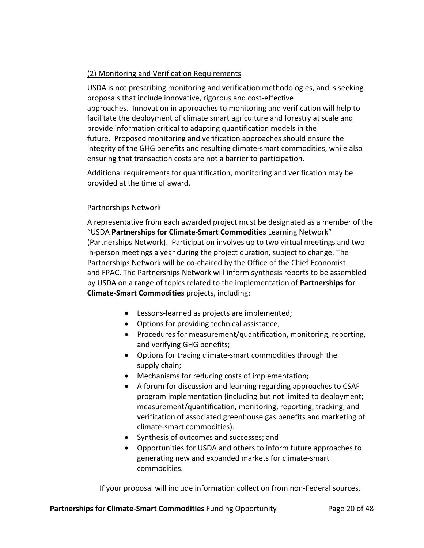# (2) Monitoring and Verification Requirements

USDA is not prescribing monitoring and verification methodologies, and is seeking proposals that include innovative, rigorous and cost‐effective approaches. Innovation in approaches to monitoring and verification will help to facilitate the deployment of climate smart agriculture and forestry at scale and provide information critical to adapting quantification models in the future. Proposed monitoring and verification approaches should ensure the integrity of the GHG benefits and resulting climate‐smart commodities, while also ensuring that transaction costs are not a barrier to participation.

Additional requirements for quantification, monitoring and verification may be provided at the time of award.

# Partnerships Network

A representative from each awarded project must be designated as a member of the "USDA **Partnerships for Climate‐Smart Commodities** Learning Network" (Partnerships Network). Participation involves up to two virtual meetings and two in-person meetings a year during the project duration, subject to change. The Partnerships Network will be co‐chaired by the Office of the Chief Economist and FPAC. The Partnerships Network will inform synthesis reports to be assembled by USDA on a range of topics related to the implementation of **Partnerships for Climate‐Smart Commodities** projects, including:

- Lessons‐learned as projects are implemented;
- Options for providing technical assistance;
- Procedures for measurement/quantification, monitoring, reporting, and verifying GHG benefits;
- Options for tracing climate-smart commodities through the supply chain;
- Mechanisms for reducing costs of implementation;
- A forum for discussion and learning regarding approaches to CSAF program implementation (including but not limited to deployment; measurement/quantification, monitoring, reporting, tracking, and verification of associated greenhouse gas benefits and marketing of climate‐smart commodities).
- Synthesis of outcomes and successes; and
- Opportunities for USDA and others to inform future approaches to generating new and expanded markets for climate‐smart commodities.

If your proposal will include information collection from non‐Federal sources,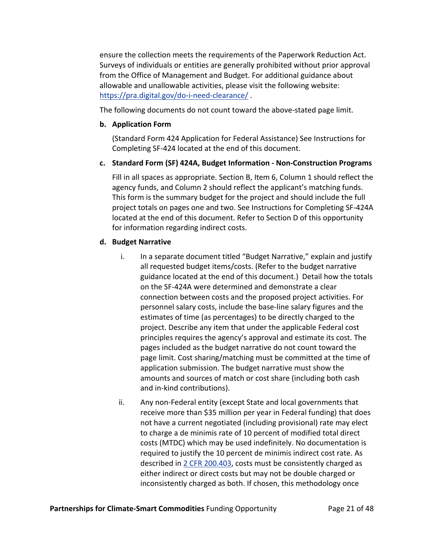ensure the collection meets the requirements of the Paperwork Reduction Act. Surveys of individuals or entities are generally prohibited without prior approval from the Office of Management and Budget. For additional guidance about allowable and unallowable activities, please visit the following website: https://pra.digital.gov/do-i-need-clearance/.

The following documents do not count toward the above-stated page limit.

## **b. Application Form**

(Standard Form 424 Application for Federal Assistance) See Instructions for Completing SF‐424 located at the end of this document.

## **c. Standard Form (SF) 424A, Budget Information ‐ Non‐Construction Programs**

Fill in all spaces as appropriate. Section B, Item 6, Column 1 should reflect the agency funds, and Column 2 should reflect the applicant's matching funds. This form is the summary budget for the project and should include the full project totals on pages one and two. See Instructions for Completing SF‐424A located at the end of this document. Refer to Section D of this opportunity for information regarding indirect costs.

## **d. Budget Narrative**

- i. In a separate document titled "Budget Narrative," explain and justify all requested budget items/costs. (Refer to the budget narrative guidance located at the end of this document.) Detail how the totals on the SF‐424A were determined and demonstrate a clear connection between costs and the proposed project activities. For personnel salary costs, include the base‐line salary figures and the estimates of time (as percentages) to be directly charged to the project. Describe any item that under the applicable Federal cost principles requires the agency's approval and estimate its cost. The pages included as the budget narrative do not count toward the page limit. Cost sharing/matching must be committed at the time of application submission. The budget narrative must show the amounts and sources of match or cost share (including both cash and in‐kind contributions).
- ii. Any non‐Federal entity (except State and local governments that receive more than \$35 million per year in Federal funding) that does not have a current negotiated (including provisional) rate may elect to charge a de minimis rate of 10 percent of modified total direct costs (MTDC) which may be used indefinitely. No documentation is required to justify the 10 percent de minimis indirect cost rate. As described in 2 CFR 200.403, costs must be consistently charged as either indirect or direct costs but may not be double charged or inconsistently charged as both. If chosen, this methodology once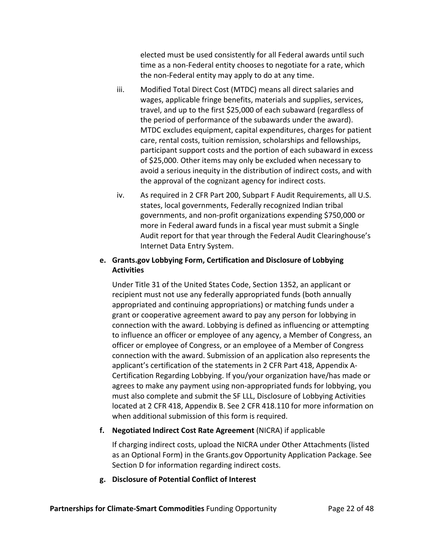elected must be used consistently for all Federal awards until such time as a non‐Federal entity chooses to negotiate for a rate, which the non‐Federal entity may apply to do at any time.

- iii. Modified Total Direct Cost (MTDC) means all direct salaries and wages, applicable fringe benefits, materials and supplies, services, travel, and up to the first \$25,000 of each subaward (regardless of the period of performance of the subawards under the award). MTDC excludes equipment, capital expenditures, charges for patient care, rental costs, tuition remission, scholarships and fellowships, participant support costs and the portion of each subaward in excess of \$25,000. Other items may only be excluded when necessary to avoid a serious inequity in the distribution of indirect costs, and with the approval of the cognizant agency for indirect costs.
- iv. As required in 2 CFR Part 200, Subpart F Audit Requirements, all U.S. states, local governments, Federally recognized Indian tribal governments, and non‐profit organizations expending \$750,000 or more in Federal award funds in a fiscal year must submit a Single Audit report for that year through the Federal Audit Clearinghouse's Internet Data Entry System.

# **e. Grants.gov Lobbying Form, Certification and Disclosure of Lobbying Activities**

Under Title 31 of the United States Code, Section 1352, an applicant or recipient must not use any federally appropriated funds (both annually appropriated and continuing appropriations) or matching funds under a grant or cooperative agreement award to pay any person for lobbying in connection with the award. Lobbying is defined as influencing or attempting to influence an officer or employee of any agency, a Member of Congress, an officer or employee of Congress, or an employee of a Member of Congress connection with the award. Submission of an application also represents the applicant's certification of the statements in 2 CFR Part 418, Appendix A‐ Certification Regarding Lobbying. If you/your organization have/has made or agrees to make any payment using non‐appropriated funds for lobbying, you must also complete and submit the SF LLL, Disclosure of Lobbying Activities located at 2 CFR 418, Appendix B. See 2 CFR 418.110 for more information on when additional submission of this form is required.

# **f. Negotiated Indirect Cost Rate Agreement** (NICRA) if applicable

If charging indirect costs, upload the NICRA under Other Attachments (listed as an Optional Form) in the Grants.gov Opportunity Application Package. See Section D for information regarding indirect costs.

# **g. Disclosure of Potential Conflict of Interest**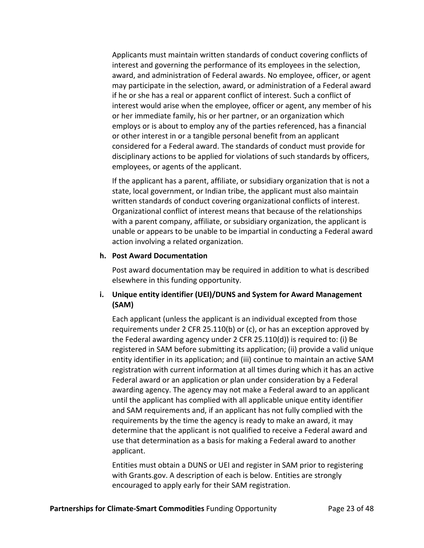Applicants must maintain written standards of conduct covering conflicts of interest and governing the performance of its employees in the selection, award, and administration of Federal awards. No employee, officer, or agent may participate in the selection, award, or administration of a Federal award if he or she has a real or apparent conflict of interest. Such a conflict of interest would arise when the employee, officer or agent, any member of his or her immediate family, his or her partner, or an organization which employs or is about to employ any of the parties referenced, has a financial or other interest in or a tangible personal benefit from an applicant considered for a Federal award. The standards of conduct must provide for disciplinary actions to be applied for violations of such standards by officers, employees, or agents of the applicant.

If the applicant has a parent, affiliate, or subsidiary organization that is not a state, local government, or Indian tribe, the applicant must also maintain written standards of conduct covering organizational conflicts of interest. Organizational conflict of interest means that because of the relationships with a parent company, affiliate, or subsidiary organization, the applicant is unable or appears to be unable to be impartial in conducting a Federal award action involving a related organization.

#### **h. Post Award Documentation**

Post award documentation may be required in addition to what is described elsewhere in this funding opportunity.

## **i. Unique entity identifier (UEI)/DUNS and System for Award Management (SAM)**

Each applicant (unless the applicant is an individual excepted from those requirements under 2 CFR 25.110(b) or (c), or has an exception approved by the Federal awarding agency under 2 CFR 25.110(d)) is required to: (i) Be registered in SAM before submitting its application; (ii) provide a valid unique entity identifier in its application; and (iii) continue to maintain an active SAM registration with current information at all times during which it has an active Federal award or an application or plan under consideration by a Federal awarding agency. The agency may not make a Federal award to an applicant until the applicant has complied with all applicable unique entity identifier and SAM requirements and, if an applicant has not fully complied with the requirements by the time the agency is ready to make an award, it may determine that the applicant is not qualified to receive a Federal award and use that determination as a basis for making a Federal award to another applicant.

Entities must obtain a DUNS or UEI and register in SAM prior to registering with Grants.gov. A description of each is below. Entities are strongly encouraged to apply early for their SAM registration.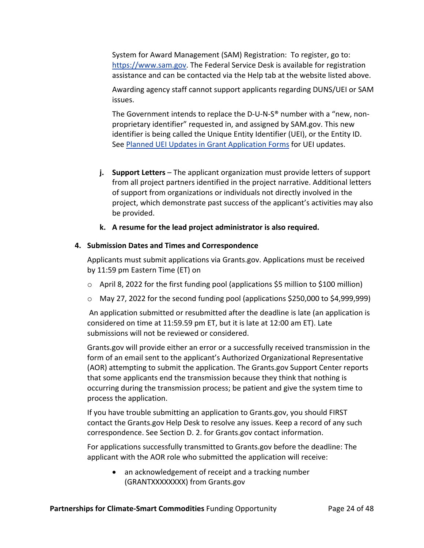System for Award Management (SAM) Registration: To register, go to: https://www.sam.gov. The Federal Service Desk is available for registration assistance and can be contacted via the Help tab at the website listed above.

Awarding agency staff cannot support applicants regarding DUNS/UEI or SAM issues.

The Government intends to replace the D-U-N-S<sup>®</sup> number with a "new, nonproprietary identifier" requested in, and assigned by SAM.gov. This new identifier is being called the Unique Entity Identifier (UEI), or the Entity ID. See Planned UEI Updates in Grant Application Forms for UEI updates.

- **j. Support Letters** The applicant organization must provide letters of support from all project partners identified in the project narrative. Additional letters of support from organizations or individuals not directly involved in the project, which demonstrate past success of the applicant's activities may also be provided.
- **k. A resume for the lead project administrator is also required.**

## **4. Submission Dates and Times and Correspondence**

Applicants must submit applications via Grants.gov. Applications must be received by 11:59 pm Eastern Time (ET) on

- $\circ$  April 8, 2022 for the first funding pool (applications \$5 million to \$100 million)
- o May 27, 2022 for the second funding pool (applications \$250,000 to \$4,999,999)

An application submitted or resubmitted after the deadline is late (an application is considered on time at 11:59.59 pm ET, but it is late at 12:00 am ET). Late submissions will not be reviewed or considered.

Grants.gov will provide either an error or a successfully received transmission in the form of an email sent to the applicant's Authorized Organizational Representative (AOR) attempting to submit the application. The Grants.gov Support Center reports that some applicants end the transmission because they think that nothing is occurring during the transmission process; be patient and give the system time to process the application.

If you have trouble submitting an application to Grants.gov, you should FIRST contact the Grants.gov Help Desk to resolve any issues. Keep a record of any such correspondence. See Section D. 2. for Grants.gov contact information.

For applications successfully transmitted to Grants.gov before the deadline: The applicant with the AOR role who submitted the application will receive:

• an acknowledgement of receipt and a tracking number (GRANTXXXXXXXX) from Grants.gov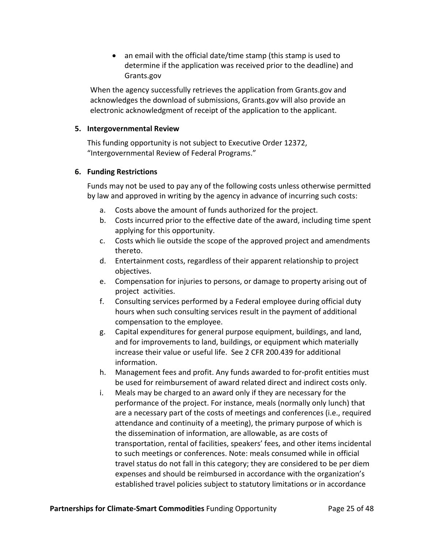• an email with the official date/time stamp (this stamp is used to determine if the application was received prior to the deadline) and Grants.gov

When the agency successfully retrieves the application from Grants.gov and acknowledges the download of submissions, Grants.gov will also provide an electronic acknowledgment of receipt of the application to the applicant.

### **5. Intergovernmental Review**

This funding opportunity is not subject to Executive Order 12372, "Intergovernmental Review of Federal Programs."

## **6. Funding Restrictions**

Funds may not be used to pay any of the following costs unless otherwise permitted by law and approved in writing by the agency in advance of incurring such costs:

- a. Costs above the amount of funds authorized for the project.
- b. Costs incurred prior to the effective date of the award, including time spent applying for this opportunity.
- c. Costs which lie outside the scope of the approved project and amendments thereto.
- d. Entertainment costs, regardless of their apparent relationship to project objectives.
- e. Compensation for injuries to persons, or damage to property arising out of project activities.
- f. Consulting services performed by a Federal employee during official duty hours when such consulting services result in the payment of additional compensation to the employee.
- g. Capital expenditures for general purpose equipment, buildings, and land, and for improvements to land, buildings, or equipment which materially increase their value or useful life. See 2 CFR 200.439 for additional information.
- h. Management fees and profit. Any funds awarded to for‐profit entities must be used for reimbursement of award related direct and indirect costs only.
- i. Meals may be charged to an award only if they are necessary for the performance of the project. For instance, meals (normally only lunch) that are a necessary part of the costs of meetings and conferences (i.e., required attendance and continuity of a meeting), the primary purpose of which is the dissemination of information, are allowable, as are costs of transportation, rental of facilities, speakers' fees, and other items incidental to such meetings or conferences. Note: meals consumed while in official travel status do not fall in this category; they are considered to be per diem expenses and should be reimbursed in accordance with the organization's established travel policies subject to statutory limitations or in accordance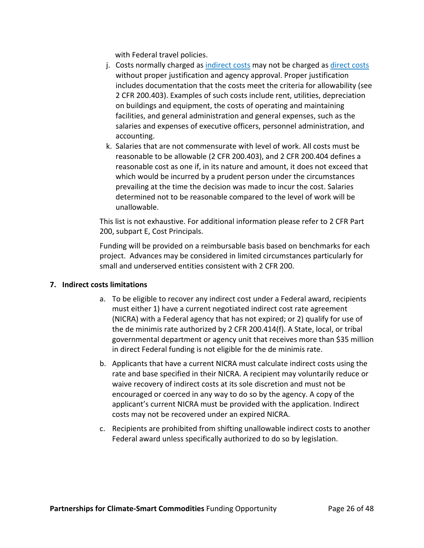with Federal travel policies.

- j. Costs normally charged as indirect costs may not be charged as direct costs without proper justification and agency approval. Proper justification includes documentation that the costs meet the criteria for allowability (see 2 CFR 200.403). Examples of such costs include rent, utilities, depreciation on buildings and equipment, the costs of operating and maintaining facilities, and general administration and general expenses, such as the salaries and expenses of executive officers, personnel administration, and accounting.
- k. Salaries that are not commensurate with level of work. All costs must be reasonable to be allowable (2 CFR 200.403), and 2 CFR 200.404 defines a reasonable cost as one if, in its nature and amount, it does not exceed that which would be incurred by a prudent person under the circumstances prevailing at the time the decision was made to incur the cost. Salaries determined not to be reasonable compared to the level of work will be unallowable.

This list is not exhaustive. For additional information please refer to 2 CFR Part 200, subpart E, Cost Principals.

Funding will be provided on a reimbursable basis based on benchmarks for each project. Advances may be considered in limited circumstances particularly for small and underserved entities consistent with 2 CFR 200.

### **7. Indirect costs limitations**

- a. To be eligible to recover any indirect cost under a Federal award, recipients must either 1) have a current negotiated indirect cost rate agreement (NICRA) with a Federal agency that has not expired; or 2) qualify for use of the de minimis rate authorized by 2 CFR 200.414(f). A State, local, or tribal governmental department or agency unit that receives more than \$35 million in direct Federal funding is not eligible for the de minimis rate.
- b. Applicants that have a current NICRA must calculate indirect costs using the rate and base specified in their NICRA. A recipient may voluntarily reduce or waive recovery of indirect costs at its sole discretion and must not be encouraged or coerced in any way to do so by the agency. A copy of the applicant's current NICRA must be provided with the application. Indirect costs may not be recovered under an expired NICRA.
- c. Recipients are prohibited from shifting unallowable indirect costs to another Federal award unless specifically authorized to do so by legislation.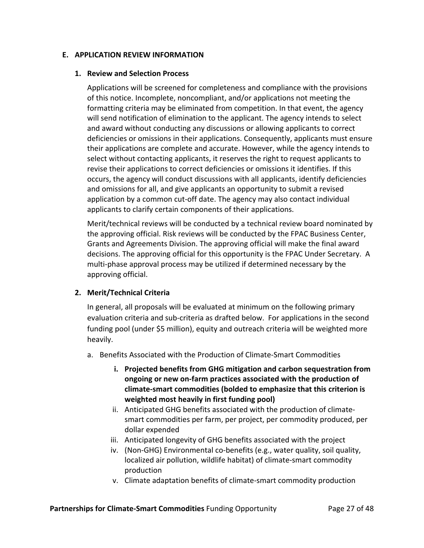### **E. APPLICATION REVIEW INFORMATION**

### **1. Review and Selection Process**

Applications will be screened for completeness and compliance with the provisions of this notice. Incomplete, noncompliant, and/or applications not meeting the formatting criteria may be eliminated from competition. In that event, the agency will send notification of elimination to the applicant. The agency intends to select and award without conducting any discussions or allowing applicants to correct deficiencies or omissions in their applications. Consequently, applicants must ensure their applications are complete and accurate. However, while the agency intends to select without contacting applicants, it reserves the right to request applicants to revise their applications to correct deficiencies or omissions it identifies. If this occurs, the agency will conduct discussions with all applicants, identify deficiencies and omissions for all, and give applicants an opportunity to submit a revised application by a common cut‐off date. The agency may also contact individual applicants to clarify certain components of their applications.

Merit/technical reviews will be conducted by a technical review board nominated by the approving official. Risk reviews will be conducted by the FPAC Business Center, Grants and Agreements Division. The approving official will make the final award decisions. The approving official for this opportunity is the FPAC Under Secretary. A multi‐phase approval process may be utilized if determined necessary by the approving official.

### **2. Merit/Technical Criteria**

In general, all proposals will be evaluated at minimum on the following primary evaluation criteria and sub‐criteria as drafted below. For applications in the second funding pool (under \$5 million), equity and outreach criteria will be weighted more heavily.

- a. Benefits Associated with the Production of Climate‐Smart Commodities
	- **i. Projected benefits from GHG mitigation and carbon sequestration from ongoing or new on‐farm practices associated with the production of climate‐smart commodities (bolded to emphasize that this criterion is weighted most heavily in first funding pool)**
	- ii. Anticipated GHG benefits associated with the production of climate‐ smart commodities per farm, per project, per commodity produced, per dollar expended
	- iii. Anticipated longevity of GHG benefits associated with the project
	- iv. (Non-GHG) Environmental co-benefits (e.g., water quality, soil quality, localized air pollution, wildlife habitat) of climate‐smart commodity production
	- v. Climate adaptation benefits of climate‐smart commodity production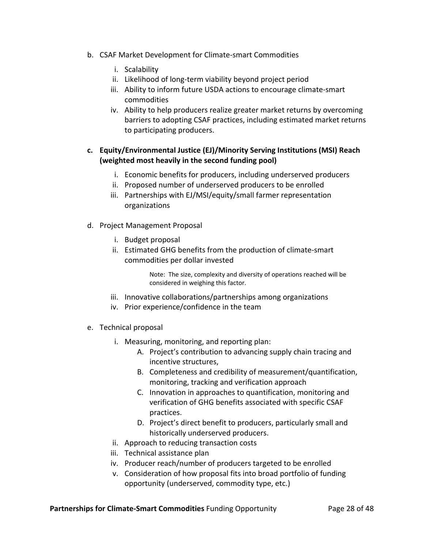- b. CSAF Market Development for Climate‐smart Commodities
	- i. Scalability
	- ii. Likelihood of long‐term viability beyond project period
	- iii. Ability to inform future USDA actions to encourage climate‐smart commodities
	- iv. Ability to help producers realize greater market returns by overcoming barriers to adopting CSAF practices, including estimated market returns to participating producers.

# **c. Equity/Environmental Justice (EJ)/Minority Serving Institutions (MSI) Reach (weighted most heavily in the second funding pool)**

- i. Economic benefits for producers, including underserved producers
- ii. Proposed number of underserved producers to be enrolled
- iii. Partnerships with EJ/MSI/equity/small farmer representation organizations
- d. Project Management Proposal
	- i. Budget proposal
	- ii. Estimated GHG benefits from the production of climate‐smart commodities per dollar invested

Note: The size, complexity and diversity of operations reached will be considered in weighing this factor.

- iii. Innovative collaborations/partnerships among organizations
- iv. Prior experience/confidence in the team
- e. Technical proposal
	- i. Measuring, monitoring, and reporting plan:
		- A. Project's contribution to advancing supply chain tracing and incentive structures,
		- B. Completeness and credibility of measurement/quantification, monitoring, tracking and verification approach
		- C. Innovation in approaches to quantification, monitoring and verification of GHG benefits associated with specific CSAF practices.
		- D. Project's direct benefit to producers, particularly small and historically underserved producers.
	- ii. Approach to reducing transaction costs
	- iii. Technical assistance plan
	- iv. Producer reach/number of producers targeted to be enrolled
	- v. Consideration of how proposal fits into broad portfolio of funding opportunity (underserved, commodity type, etc.)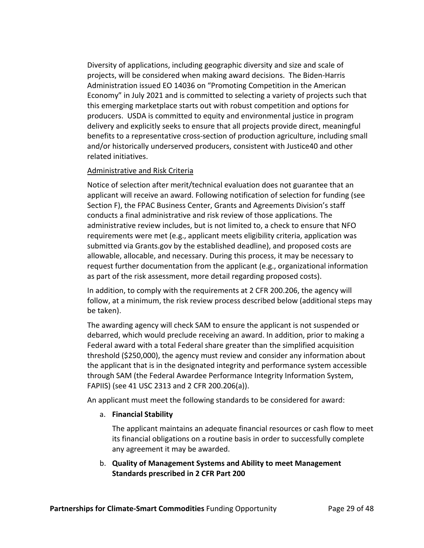Diversity of applications, including geographic diversity and size and scale of projects, will be considered when making award decisions. The Biden‐Harris Administration issued EO 14036 on "Promoting Competition in the American Economy" in July 2021 and is committed to selecting a variety of projects such that this emerging marketplace starts out with robust competition and options for producers. USDA is committed to equity and environmental justice in program delivery and explicitly seeks to ensure that all projects provide direct, meaningful benefits to a representative cross‐section of production agriculture, including small and/or historically underserved producers, consistent with Justice40 and other related initiatives.

## Administrative and Risk Criteria

Notice of selection after merit/technical evaluation does not guarantee that an applicant will receive an award. Following notification of selection for funding (see Section F), the FPAC Business Center, Grants and Agreements Division's staff conducts a final administrative and risk review of those applications. The administrative review includes, but is not limited to, a check to ensure that NFO requirements were met (e.g., applicant meets eligibility criteria, application was submitted via Grants.gov by the established deadline), and proposed costs are allowable, allocable, and necessary. During this process, it may be necessary to request further documentation from the applicant (e.g., organizational information as part of the risk assessment, more detail regarding proposed costs).

In addition, to comply with the requirements at 2 CFR 200.206, the agency will follow, at a minimum, the risk review process described below (additional steps may be taken).

The awarding agency will check SAM to ensure the applicant is not suspended or debarred, which would preclude receiving an award. In addition, prior to making a Federal award with a total Federal share greater than the simplified acquisition threshold (\$250,000), the agency must review and consider any information about the applicant that is in the designated integrity and performance system accessible through SAM (the Federal Awardee Performance Integrity Information System, FAPIIS) (see 41 USC 2313 and 2 CFR 200.206(a)).

An applicant must meet the following standards to be considered for award:

# a. **Financial Stability**

The applicant maintains an adequate financial resources or cash flow to meet its financial obligations on a routine basis in order to successfully complete any agreement it may be awarded.

b. **Quality of Management Systems and Ability to meet Management Standards prescribed in 2 CFR Part 200**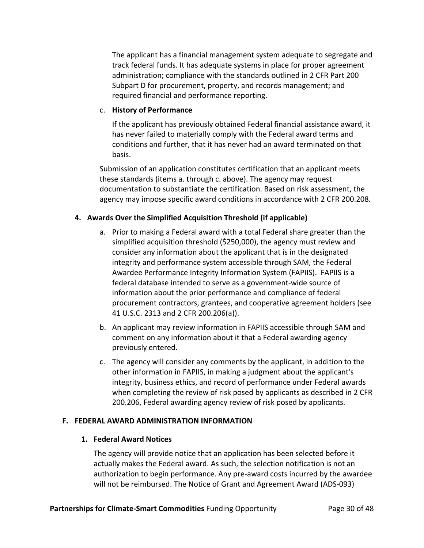The applicant has a financial management system adequate to segregate and track federal funds. It has adequate systems in place for proper agreement administration; compliance with the standards outlined in 2 CFR Part 200 Subpart D for procurement, property, and records management; and required financial and performance reporting.

### c. **History of Performance**

If the applicant has previously obtained Federal financial assistance award, it has never failed to materially comply with the Federal award terms and conditions and further, that it has never had an award terminated on that basis.

Submission of an application constitutes certification that an applicant meets these standards (items a. through c. above). The agency may request documentation to substantiate the certification. Based on risk assessment, the agency may impose specific award conditions in accordance with 2 CFR 200.208.

# **4. Awards Over the Simplified Acquisition Threshold (if applicable)**

- a. Prior to making a Federal award with a total Federal share greater than the simplified acquisition threshold (\$250,000), the agency must review and consider any information about the applicant that is in the designated integrity and performance system accessible through SAM, the Federal Awardee Performance Integrity Information System (FAPIIS). FAPIIS is a federal database intended to serve as a government‐wide source of information about the prior performance and compliance of federal procurement contractors, grantees, and cooperative agreement holders (see 41 U.S.C. 2313 and 2 CFR 200.206(a)).
- b. An applicant may review information in FAPIIS accessible through SAM and comment on any information about it that a Federal awarding agency previously entered.
- c. The agency will consider any comments by the applicant, in addition to the other information in FAPIIS, in making a judgment about the applicant's integrity, business ethics, and record of performance under Federal awards when completing the review of risk posed by applicants as described in 2 CFR 200.206, Federal awarding agency review of risk posed by applicants.

### **F. FEDERAL AWARD ADMINISTRATION INFORMATION**

### **1. Federal Award Notices**

The agency will provide notice that an application has been selected before it actually makes the Federal award. As such, the selection notification is not an authorization to begin performance. Any pre‐award costs incurred by the awardee will not be reimbursed. The Notice of Grant and Agreement Award (ADS‐093)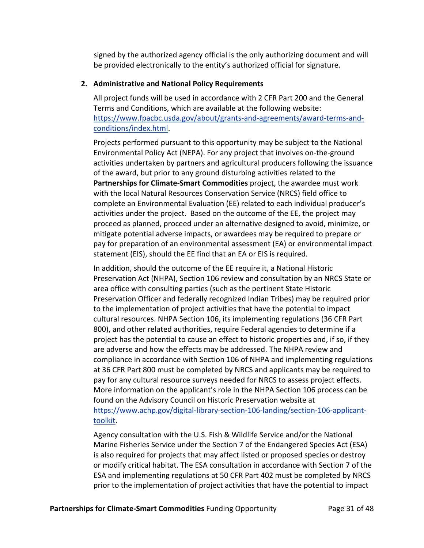signed by the authorized agency official is the only authorizing document and will be provided electronically to the entity's authorized official for signature.

# **2. Administrative and National Policy Requirements**

All project funds will be used in accordance with 2 CFR Part 200 and the General Terms and Conditions, which are available at the following website: https://www.fpacbc.usda.gov/about/grants‐and‐agreements/award‐terms‐and‐ conditions/index.html.

Projects performed pursuant to this opportunity may be subject to the National Environmental Policy Act (NEPA). For any project that involves on‐the‐ground activities undertaken by partners and agricultural producers following the issuance of the award, but prior to any ground disturbing activities related to the **Partnerships for Climate‐Smart Commodities** project, the awardee must work with the local Natural Resources Conservation Service (NRCS) field office to complete an Environmental Evaluation (EE) related to each individual producer's activities under the project. Based on the outcome of the EE, the project may proceed as planned, proceed under an alternative designed to avoid, minimize, or mitigate potential adverse impacts, or awardees may be required to prepare or pay for preparation of an environmental assessment (EA) or environmental impact statement (EIS), should the EE find that an EA or EIS is required.

In addition, should the outcome of the EE require it, a National Historic Preservation Act (NHPA), Section 106 review and consultation by an NRCS State or area office with consulting parties (such as the pertinent State Historic Preservation Officer and federally recognized Indian Tribes) may be required prior to the implementation of project activities that have the potential to impact cultural resources. NHPA Section 106, its implementing regulations (36 CFR Part 800), and other related authorities, require Federal agencies to determine if a project has the potential to cause an effect to historic properties and, if so, if they are adverse and how the effects may be addressed. The NHPA review and compliance in accordance with Section 106 of NHPA and implementing regulations at 36 CFR Part 800 must be completed by NRCS and applicants may be required to pay for any cultural resource surveys needed for NRCS to assess project effects. More information on the applicant's role in the NHPA Section 106 process can be found on the Advisory Council on Historic Preservation website at https://www.achp.gov/digital‐library‐section‐106‐landing/section‐106‐applicant‐ toolkit.

Agency consultation with the U.S. Fish & Wildlife Service and/or the National Marine Fisheries Service under the Section 7 of the Endangered Species Act (ESA) is also required for projects that may affect listed or proposed species or destroy or modify critical habitat. The ESA consultation in accordance with Section 7 of the ESA and implementing regulations at 50 CFR Part 402 must be completed by NRCS prior to the implementation of project activities that have the potential to impact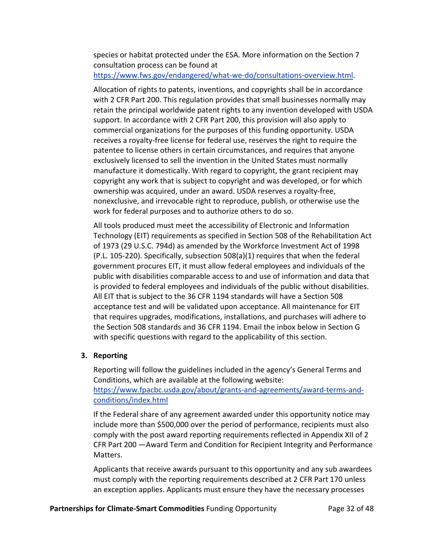species or habitat protected under the ESA. More information on the Section 7 consultation process can be found at

https://www.fws.gov/endangered/what‐we‐do/consultations‐overview.html.

Allocation of rights to patents, inventions, and copyrights shall be in accordance with 2 CFR Part 200. This regulation provides that small businesses normally may retain the principal worldwide patent rights to any invention developed with USDA support. In accordance with 2 CFR Part 200, this provision will also apply to commercial organizations for the purposes of this funding opportunity. USDA receives a royalty‐free license for federal use, reserves the right to require the patentee to license others in certain circumstances, and requires that anyone exclusively licensed to sell the invention in the United States must normally manufacture it domestically. With regard to copyright, the grant recipient may copyright any work that is subject to copyright and was developed, or for which ownership was acquired, under an award. USDA reserves a royalty‐free, nonexclusive, and irrevocable right to reproduce, publish, or otherwise use the work for federal purposes and to authorize others to do so.

All tools produced must meet the accessibility of Electronic and Information Technology (EIT) requirements as specified in Section 508 of the Rehabilitation Act of 1973 (29 U.S.C. 794d) as amended by the Workforce Investment Act of 1998 (P.L. 105‐220). Specifically, subsection 508(a)(1) requires that when the federal government procures EIT, it must allow federal employees and individuals of the public with disabilities comparable access to and use of information and data that is provided to federal employees and individuals of the public without disabilities. All EIT that is subject to the 36 CFR 1194 standards will have a Section 508 acceptance test and will be validated upon acceptance. All maintenance for EIT that requires upgrades, modifications, installations, and purchases will adhere to the Section 508 standards and 36 CFR 1194. Email the inbox below in Section G with specific questions with regard to the applicability of this section.

### **3. Reporting**

Reporting will follow the guidelines included in the agency's General Terms and Conditions, which are available at the following website: https://www.fpacbc.usda.gov/about/grants‐and‐agreements/award‐terms‐and‐ conditions/index.html

If the Federal share of any agreement awarded under this opportunity notice may include more than \$500,000 over the period of performance, recipients must also comply with the post award reporting requirements reflected in Appendix XII of 2 CFR Part 200 —Award Term and Condition for Recipient Integrity and Performance Matters.

Applicants that receive awards pursuant to this opportunity and any sub awardees must comply with the reporting requirements described at 2 CFR Part 170 unless an exception applies. Applicants must ensure they have the necessary processes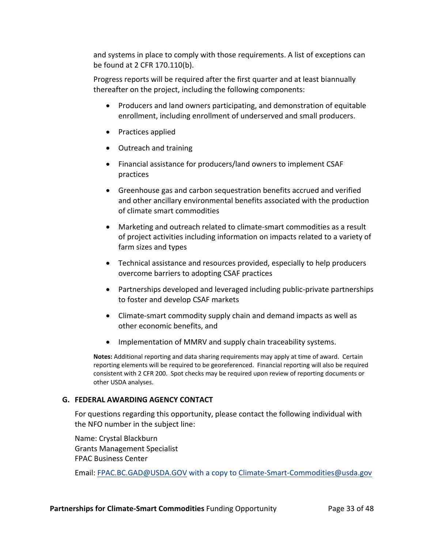and systems in place to comply with those requirements. A list of exceptions can be found at 2 CFR 170.110(b).

Progress reports will be required after the first quarter and at least biannually thereafter on the project, including the following components:

- Producers and land owners participating, and demonstration of equitable enrollment, including enrollment of underserved and small producers.
- Practices applied
- Outreach and training
- Financial assistance for producers/land owners to implement CSAF practices
- Greenhouse gas and carbon sequestration benefits accrued and verified and other ancillary environmental benefits associated with the production of climate smart commodities
- Marketing and outreach related to climate-smart commodities as a result of project activities including information on impacts related to a variety of farm sizes and types
- Technical assistance and resources provided, especially to help producers overcome barriers to adopting CSAF practices
- Partnerships developed and leveraged including public-private partnerships to foster and develop CSAF markets
- Climate-smart commodity supply chain and demand impacts as well as other economic benefits, and
- Implementation of MMRV and supply chain traceability systems.

**Notes:** Additional reporting and data sharing requirements may apply at time of award. Certain reporting elements will be required to be georeferenced. Financial reporting will also be required consistent with 2 CFR 200. Spot checks may be required upon review of reporting documents or other USDA analyses.

### **G. FEDERAL AWARDING AGENCY CONTACT**

For questions regarding this opportunity, please contact the following individual with the NFO number in the subject line:

Name: Crystal Blackburn Grants Management Specialist FPAC Business Center

Email: FPAC.BC.GAD@USDA.GOV with a copy to Climate-Smart-Commodities@usda.gov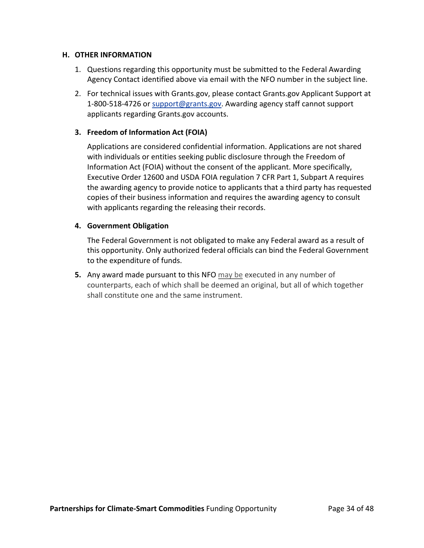### **H. OTHER INFORMATION**

- 1. Questions regarding this opportunity must be submitted to the Federal Awarding Agency Contact identified above via email with the NFO number in the subject line.
- 2. For technical issues with Grants.gov, please contact Grants.gov Applicant Support at 1‐800‐518‐4726 or support@grants.gov. Awarding agency staff cannot support applicants regarding Grants.gov accounts.

### **3. Freedom of Information Act (FOIA)**

Applications are considered confidential information. Applications are not shared with individuals or entities seeking public disclosure through the Freedom of Information Act (FOIA) without the consent of the applicant. More specifically, Executive Order 12600 and USDA FOIA regulation 7 CFR Part 1, Subpart A requires the awarding agency to provide notice to applicants that a third party has requested copies of their business information and requires the awarding agency to consult with applicants regarding the releasing their records.

#### **4. Government Obligation**

The Federal Government is not obligated to make any Federal award as a result of this opportunity. Only authorized federal officials can bind the Federal Government to the expenditure of funds.

**5.** Any award made pursuant to this NFO may be executed in any number of counterparts, each of which shall be deemed an original, but all of which together shall constitute one and the same instrument.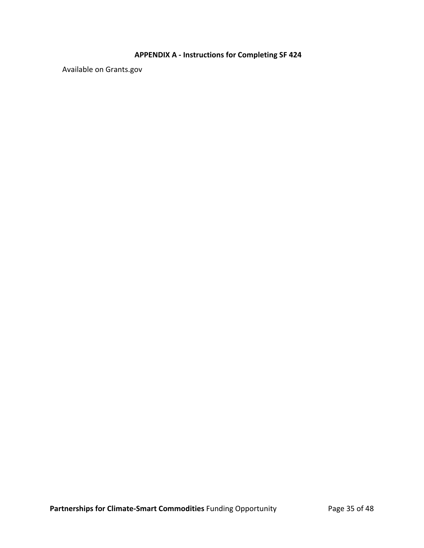# **APPENDIX A ‐ Instructions for Completing SF 424**

Available on Grants.gov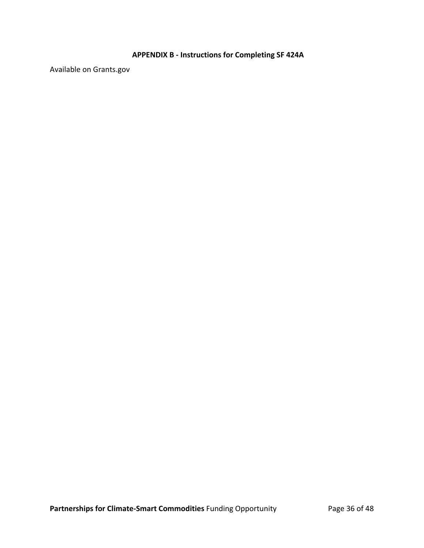# **APPENDIX B ‐ Instructions for Completing SF 424A**

Available on Grants.gov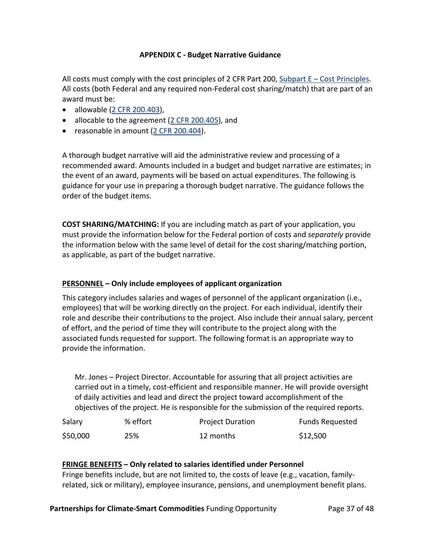### **APPENDIX C ‐ Budget Narrative Guidance**

All costs must comply with the cost principles of 2 CFR Part 200, Subpart  $E - Cost$  Principles. All costs (both Federal and any required non‐Federal cost sharing/match) that are part of an award must be:

- allowable (2 CFR 200.403),
- allocable to the agreement (2 CFR 200.405), and
- reasonable in amount (2 CFR 200.404).

A thorough budget narrative will aid the administrative review and processing of a recommended award. Amounts included in a budget and budget narrative are estimates; in the event of an award, payments will be based on actual expenditures. The following is guidance for your use in preparing a thorough budget narrative. The guidance follows the order of the budget items.

**COST SHARING/MATCHING:** If you are including match as part of your application, you must provide the information below for the Federal portion of costs and *separately* provide the information below with the same level of detail for the cost sharing/matching portion, as applicable, as part of the budget narrative.

# **PERSONNEL – Only include employees of applicant organization**

This category includes salaries and wages of personnel of the applicant organization (i.e., employees) that will be working directly on the project. For each individual, identify their role and describe their contributions to the project. Also include their annual salary, percent of effort, and the period of time they will contribute to the project along with the associated funds requested for support. The following format is an appropriate way to provide the information.

Mr. Jones – Project Director. Accountable for assuring that all project activities are carried out in a timely, cost-efficient and responsible manner. He will provide oversight of daily activities and lead and direct the project toward accomplishment of the objectives of the project. He is responsible for the submission of the required reports.

| Salary   | % effort | <b>Project Duration</b> | <b>Funds Requested</b> |
|----------|----------|-------------------------|------------------------|
| \$50,000 | 25%      | 12 months               | \$12,500               |

# **FRINGE BENEFITS – Only related to salaries identified under Personnel**

Fringe benefits include, but are not limited to, the costs of leave (e.g., vacation, family‐ related, sick or military), employee insurance, pensions, and unemployment benefit plans.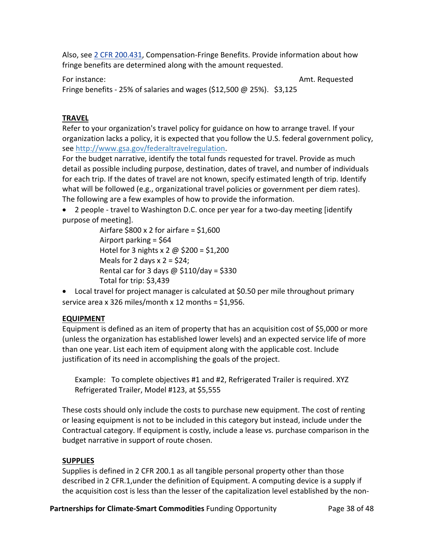Also, see 2 CFR 200.431, Compensation‐Fringe Benefits. Provide information about how fringe benefits are determined along with the amount requested.

For instance: **Example 2018** The state of the state of the state of the state of the state of the state of the state of the state of the state of the state of the state of the state of the state of the state of the state o

Fringe benefits - 25% of salaries and wages (\$12,500  $\omega$  25%). \$3,125

# **TRAVEL**

Refer to your organization's travel policy for guidance on how to arrange travel. If your organization lacks a policy, it is expected that you follow the U.S. federal government policy, see http://www.gsa.gov/federaltravelregulation.

For the budget narrative, identify the total funds requested for travel. Provide as much detail as possible including purpose, destination, dates of travel, and number of individuals for each trip. If the dates of travel are not known, specify estimated length of trip. Identify what will be followed (e.g., organizational travel policies or government per diem rates). The following are a few examples of how to provide the information.

- 2 people travel to Washington D.C. once per year for a two-day meeting [identify] purpose of meeting].
	- Airfare  $$800 \times 2$  for airfare =  $$1,600$  Airport parking = \$64 Hotel for 3 nights x 2 @ \$200 = \$1,200 Meals for 2 days  $x = 24$ ; Rental car for 3 days  $\omega$  \$110/day = \$330 Total for trip: \$3,439
- Local travel for project manager is calculated at \$0.50 per mile throughout primary service area x 326 miles/month x 12 months =  $$1,956$ .

# **EQUIPMENT**

Equipment is defined as an item of property that has an acquisition cost of \$5,000 or more (unless the organization has established lower levels) and an expected service life of more than one year. List each item of equipment along with the applicable cost. Include justification of its need in accomplishing the goals of the project.

Example: To complete objectives #1 and #2, Refrigerated Trailer is required. XYZ Refrigerated Trailer, Model #123, at \$5,555

These costs should only include the costs to purchase new equipment. The cost of renting or leasing equipment is not to be included in this category but instead, include under the Contractual category. If equipment is costly, include a lease vs. purchase comparison in the budget narrative in support of route chosen.

# **SUPPLIES**

Supplies is defined in 2 CFR 200.1 as all tangible personal property other than those described in 2 CFR.1,under the definition of Equipment. A computing device is a supply if the acquisition cost is less than the lesser of the capitalization level established by the non‐

**Partnerships for Climate‐Smart Commodities** Funding Opportunity Page 38 of 48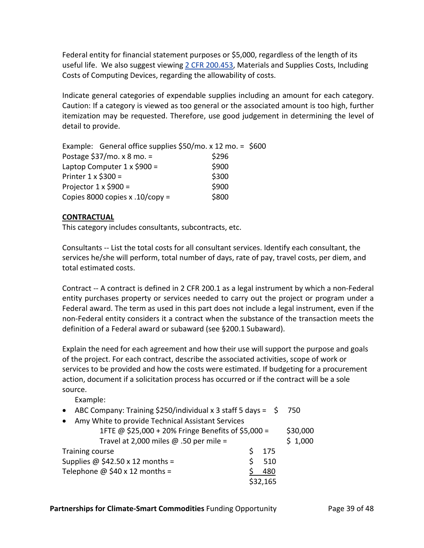Federal entity for financial statement purposes or \$5,000, regardless of the length of its useful life. We also suggest viewing 2 CFR 200.453, Materials and Supplies Costs, Including Costs of Computing Devices, regarding the allowability of costs.

Indicate general categories of expendable supplies including an amount for each category. Caution: If a category is viewed as too general or the associated amount is too high, further itemization may be requested. Therefore, use good judgement in determining the level of detail to provide.

| Example: General office supplies $$50/$ mo. x 12 mo. = $$600$ |  |  |
|---------------------------------------------------------------|--|--|
| Postage $$37/mo. x 8 mo. =$<br>\$296                          |  |  |
| \$900<br>Laptop Computer $1 \times $900 =$                    |  |  |
| \$300<br>Printer $1 \times $300 =$                            |  |  |
| \$900<br>Projector $1 \times $900 =$                          |  |  |
| \$800<br>Copies 8000 copies x .10/copy =                      |  |  |

## **CONTRACTUAL**

This category includes consultants, subcontracts, etc.

Consultants ‐‐ List the total costs for all consultant services. Identify each consultant, the services he/she will perform, total number of days, rate of pay, travel costs, per diem, and total estimated costs.

Contract ‐‐ A contract is defined in 2 CFR 200.1 as a legal instrument by which a non‐Federal entity purchases property or services needed to carry out the project or program under a Federal award. The term as used in this part does not include a legal instrument, even if the non‐Federal entity considers it a contract when the substance of the transaction meets the definition of a Federal award or subaward (see §200.1 Subaward).

Explain the need for each agreement and how their use will support the purpose and goals of the project. For each contract, describe the associated activities, scope of work or services to be provided and how the costs were estimated. If budgeting for a procurement action, document if a solicitation process has occurred or if the contract will be a sole source.

Example:

- ABC Company: Training \$250/individual x 3 staff 5 days =  $\div$  750
- Amy White to provide Technical Assistant Services

|                                  | 1FTE @ \$25,000 + 20% Fringe Benefits of \$5,000 = |          | \$30,000 |  |
|----------------------------------|----------------------------------------------------|----------|----------|--|
|                                  | Travel at 2,000 miles $\omega$ .50 per mile =      |          | \$1,000  |  |
| Training course                  |                                                    | 175      |          |  |
|                                  | Supplies @ $$42.50 \times 12$ months =             | 510      |          |  |
| Telephone $@$ \$40 x 12 months = |                                                    | 480      |          |  |
|                                  |                                                    | \$32,165 |          |  |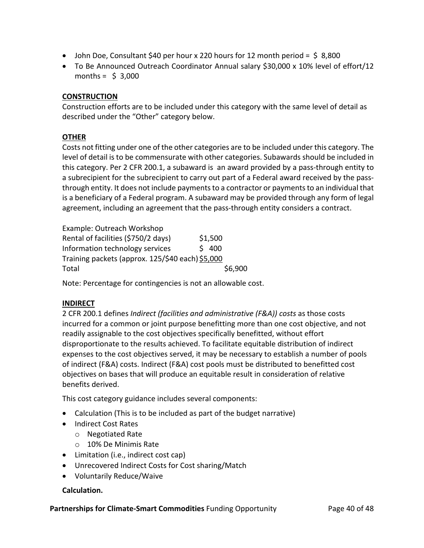- John Doe, Consultant \$40 per hour x 220 hours for 12 month period = \$ 8,800
- To Be Announced Outreach Coordinator Annual salary \$30,000 x 10% level of effort/12 months =  $$3,000$

# **CONSTRUCTION**

Construction efforts are to be included under this category with the same level of detail as described under the "Other" category below.

## **OTHER**

Costs not fitting under one of the other categories are to be included under this category. The level of detail is to be commensurate with other categories. Subawards should be included in this category. Per 2 CFR 200.1, a subaward is an award provided by a pass-through entity to a subrecipient for the subrecipient to carry out part of a Federal award received by the passthrough entity. It does not include payments to a contractor or payments to an individual that is a beneficiary of a Federal program. A subaward may be provided through any form of legal agreement, including an agreement that the pass‐through entity considers a contract.

| Example: Outreach Workshop                       |         |         |
|--------------------------------------------------|---------|---------|
| Rental of facilities (\$750/2 days)              | \$1,500 |         |
| Information technology services                  | \$400   |         |
| Training packets (approx. 125/\$40 each) \$5,000 |         |         |
| Total                                            |         | \$6,900 |

Note: Percentage for contingencies is not an allowable cost.

### **INDIRECT**

2 CFR 200.1 defines *Indirect (facilities and administrative (F&A)) costs* as those costs incurred for a common or joint purpose benefitting more than one cost objective, and not readily assignable to the cost objectives specifically benefitted, without effort disproportionate to the results achieved. To facilitate equitable distribution of indirect expenses to the cost objectives served, it may be necessary to establish a number of pools of indirect (F&A) costs. Indirect (F&A) cost pools must be distributed to benefitted cost objectives on bases that will produce an equitable result in consideration of relative benefits derived.

This cost category guidance includes several components:

- Calculation (This is to be included as part of the budget narrative)
- Indirect Cost Rates
	- o Negotiated Rate
	- o 10% De Minimis Rate
- Limitation (i.e., indirect cost cap)
- Unrecovered Indirect Costs for Cost sharing/Match
- Voluntarily Reduce/Waive

### **Calculation.**

**Partnerships for Climate‐Smart Commodities** Funding Opportunity Page 40 of 48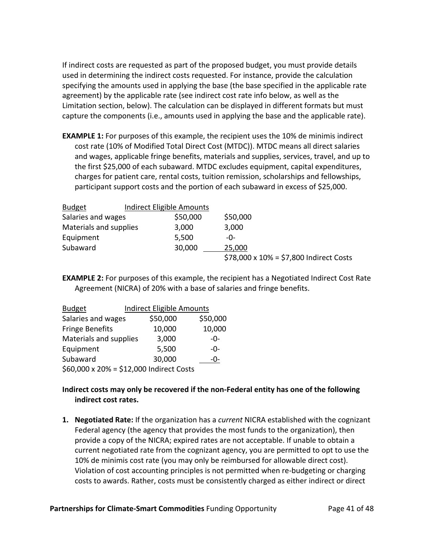If indirect costs are requested as part of the proposed budget, you must provide details used in determining the indirect costs requested. For instance, provide the calculation specifying the amounts used in applying the base (the base specified in the applicable rate agreement) by the applicable rate (see indirect cost rate info below, as well as the Limitation section, below). The calculation can be displayed in different formats but must capture the components (i.e., amounts used in applying the base and the applicable rate).

**EXAMPLE 1:** For purposes of this example, the recipient uses the 10% de minimis indirect cost rate (10% of Modified Total Direct Cost (MTDC)). MTDC means all direct salaries and wages, applicable fringe benefits, materials and supplies, services, travel, and up to the first \$25,000 of each subaward. MTDC excludes equipment, capital expenditures, charges for patient care, rental costs, tuition remission, scholarships and fellowships, participant support costs and the portion of each subaward in excess of \$25,000.

| <b>Budget</b>          | <b>Indirect Eligible Amounts</b> |          |                                            |
|------------------------|----------------------------------|----------|--------------------------------------------|
| Salaries and wages     |                                  | \$50,000 | \$50,000                                   |
| Materials and supplies |                                  | 3,000    | 3,000                                      |
| Equipment              |                                  | 5,500    | -0-                                        |
| Subaward               |                                  | 30,000   | 25,000                                     |
|                        |                                  |          | \$78,000 x $10\%$ = \$7,800 Indirect Costs |

**EXAMPLE 2:** For purposes of this example, the recipient has a Negotiated Indirect Cost Rate Agreement (NICRA) of 20% with a base of salaries and fringe benefits.

| <b>Budget</b>                            | <b>Indirect Eligible Amounts</b> |          |
|------------------------------------------|----------------------------------|----------|
| Salaries and wages                       | \$50,000                         | \$50,000 |
| <b>Fringe Benefits</b>                   | 10,000                           | 10,000   |
| Materials and supplies                   | 3,000                            | $-0-$    |
| Equipment                                | 5,500                            | -0-      |
| Subaward                                 | 30,000                           | -0-      |
| \$60,000 x 20% = \$12,000 Indirect Costs |                                  |          |

## **Indirect costs may only be recovered if the non‐Federal entity has one of the following indirect cost rates.**

**1. Negotiated Rate:** If the organization has a *current* NICRA established with the cognizant Federal agency (the agency that provides the most funds to the organization), then provide a copy of the NICRA; expired rates are not acceptable. If unable to obtain a current negotiated rate from the cognizant agency, you are permitted to opt to use the 10% de minimis cost rate (you may only be reimbursed for allowable direct cost). Violation of cost accounting principles is not permitted when re‐budgeting or charging costs to awards. Rather, costs must be consistently charged as either indirect or direct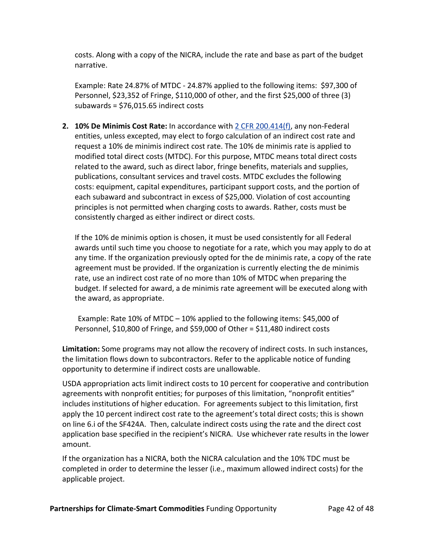costs. Along with a copy of the NICRA, include the rate and base as part of the budget narrative.

Example: Rate 24.87% of MTDC ‐ 24.87% applied to the following items: \$97,300 of Personnel, \$23,352 of Fringe, \$110,000 of other, and the first \$25,000 of three (3) subawards = \$76,015.65 indirect costs

**2. 10% De Minimis Cost Rate:** In accordance with 2 CFR 200.414(f), any non‐Federal entities, unless excepted, may elect to forgo calculation of an indirect cost rate and request a 10% de minimis indirect cost rate. The 10% de minimis rate is applied to modified total direct costs (MTDC). For this purpose, MTDC means total direct costs related to the award, such as direct labor, fringe benefits, materials and supplies, publications, consultant services and travel costs. MTDC excludes the following costs: equipment, capital expenditures, participant support costs, and the portion of each subaward and subcontract in excess of \$25,000. Violation of cost accounting principles is not permitted when charging costs to awards. Rather, costs must be consistently charged as either indirect or direct costs.

If the 10% de minimis option is chosen, it must be used consistently for all Federal awards until such time you choose to negotiate for a rate, which you may apply to do at any time. If the organization previously opted for the de minimis rate, a copy of the rate agreement must be provided. If the organization is currently electing the de minimis rate, use an indirect cost rate of no more than 10% of MTDC when preparing the budget. If selected for award, a de minimis rate agreement will be executed along with the award, as appropriate.

Example: Rate 10% of MTDC – 10% applied to the following items: \$45,000 of Personnel, \$10,800 of Fringe, and \$59,000 of Other = \$11,480 indirect costs

**Limitation:** Some programs may not allow the recovery of indirect costs. In such instances, the limitation flows down to subcontractors. Refer to the applicable notice of funding opportunity to determine if indirect costs are unallowable.

USDA appropriation acts limit indirect costs to 10 percent for cooperative and contribution agreements with nonprofit entities; for purposes of this limitation, "nonprofit entities" includes institutions of higher education. For agreements subject to this limitation, first apply the 10 percent indirect cost rate to the agreement's total direct costs; this is shown on line 6.i of the SF424A. Then, calculate indirect costs using the rate and the direct cost application base specified in the recipient's NICRA. Use whichever rate results in the lower amount.

If the organization has a NICRA, both the NICRA calculation and the 10% TDC must be completed in order to determine the lesser (i.e., maximum allowed indirect costs) for the applicable project.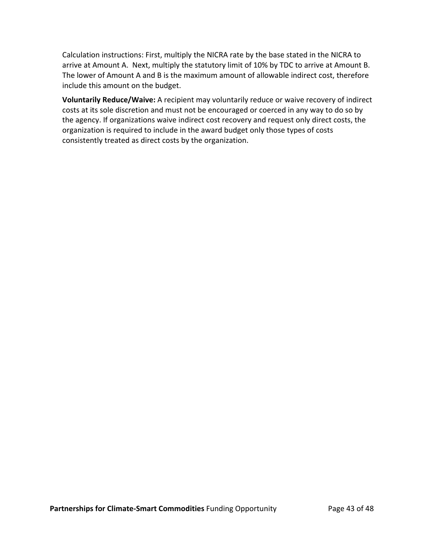Calculation instructions: First, multiply the NICRA rate by the base stated in the NICRA to arrive at Amount A. Next, multiply the statutory limit of 10% by TDC to arrive at Amount B. The lower of Amount A and B is the maximum amount of allowable indirect cost, therefore include this amount on the budget.

**Voluntarily Reduce/Waive:** A recipient may voluntarily reduce or waive recovery of indirect costs at its sole discretion and must not be encouraged or coerced in any way to do so by the agency. If organizations waive indirect cost recovery and request only direct costs, the organization is required to include in the award budget only those types of costs consistently treated as direct costs by the organization.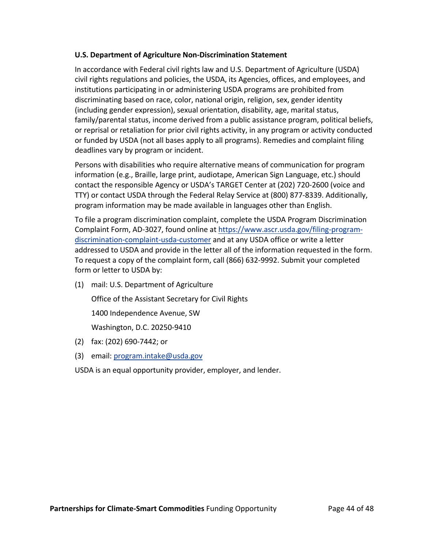### **U.S. Department of Agriculture Non‐Discrimination Statement**

In accordance with Federal civil rights law and U.S. Department of Agriculture (USDA) civil rights regulations and policies, the USDA, its Agencies, offices, and employees, and institutions participating in or administering USDA programs are prohibited from discriminating based on race, color, national origin, religion, sex, gender identity (including gender expression), sexual orientation, disability, age, marital status, family/parental status, income derived from a public assistance program, political beliefs, or reprisal or retaliation for prior civil rights activity, in any program or activity conducted or funded by USDA (not all bases apply to all programs). Remedies and complaint filing deadlines vary by program or incident.

Persons with disabilities who require alternative means of communication for program information (e.g., Braille, large print, audiotape, American Sign Language, etc.) should contact the responsible Agency or USDA's TARGET Center at (202) 720‐2600 (voice and TTY) or contact USDA through the Federal Relay Service at (800) 877‐8339. Additionally, program information may be made available in languages other than English.

To file a program discrimination complaint, complete the USDA Program Discrimination Complaint Form, AD‐3027, found online at https://www.ascr.usda.gov/filing‐program‐ discrimination‐complaint‐usda‐customer and at any USDA office or write a letter addressed to USDA and provide in the letter all of the information requested in the form. To request a copy of the complaint form, call (866) 632‐9992. Submit your completed form or letter to USDA by:

(1) mail: U.S. Department of Agriculture

 Office of the Assistant Secretary for Civil Rights 1400 Independence Avenue, SW Washington, D.C. 20250‐9410

- (2) fax: (202) 690‐7442; or
- (3) email: program.intake@usda.gov
- USDA is an equal opportunity provider, employer, and lender.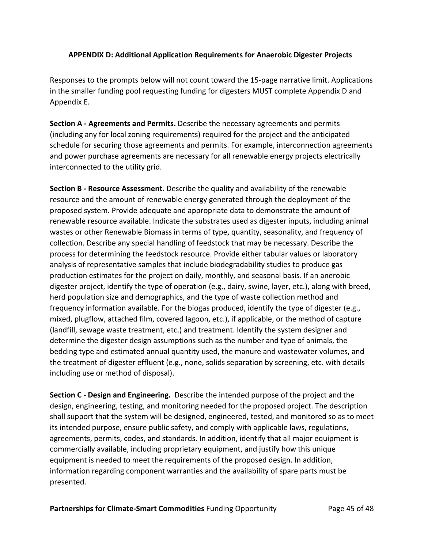# **APPENDIX D: Additional Application Requirements for Anaerobic Digester Projects**

Responses to the prompts below will not count toward the 15‐page narrative limit. Applications in the smaller funding pool requesting funding for digesters MUST complete Appendix D and Appendix E.

**Section A ‐ Agreements and Permits.** Describe the necessary agreements and permits (including any for local zoning requirements) required for the project and the anticipated schedule for securing those agreements and permits. For example, interconnection agreements and power purchase agreements are necessary for all renewable energy projects electrically interconnected to the utility grid.

**Section B ‐ Resource Assessment.** Describe the quality and availability of the renewable resource and the amount of renewable energy generated through the deployment of the proposed system. Provide adequate and appropriate data to demonstrate the amount of renewable resource available. Indicate the substrates used as digester inputs, including animal wastes or other Renewable Biomass in terms of type, quantity, seasonality, and frequency of collection. Describe any special handling of feedstock that may be necessary. Describe the process for determining the feedstock resource. Provide either tabular values or laboratory analysis of representative samples that include biodegradability studies to produce gas production estimates for the project on daily, monthly, and seasonal basis. If an anerobic digester project, identify the type of operation (e.g., dairy, swine, layer, etc.), along with breed, herd population size and demographics, and the type of waste collection method and frequency information available. For the biogas produced, identify the type of digester (e.g., mixed, plugflow, attached film, covered lagoon, etc.), if applicable, or the method of capture (landfill, sewage waste treatment, etc.) and treatment. Identify the system designer and determine the digester design assumptions such as the number and type of animals, the bedding type and estimated annual quantity used, the manure and wastewater volumes, and the treatment of digester effluent (e.g., none, solids separation by screening, etc. with details including use or method of disposal).

**Section C ‐ Design and Engineering.** Describe the intended purpose of the project and the design, engineering, testing, and monitoring needed for the proposed project. The description shall support that the system will be designed, engineered, tested, and monitored so as to meet its intended purpose, ensure public safety, and comply with applicable laws, regulations, agreements, permits, codes, and standards. In addition, identify that all major equipment is commercially available, including proprietary equipment, and justify how this unique equipment is needed to meet the requirements of the proposed design. In addition, information regarding component warranties and the availability of spare parts must be presented.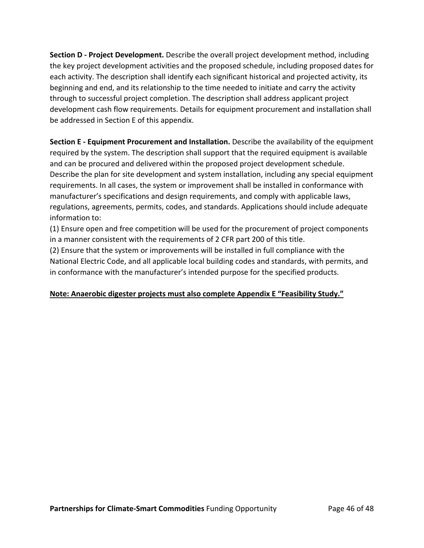**Section D ‐ Project Development.** Describe the overall project development method, including the key project development activities and the proposed schedule, including proposed dates for each activity. The description shall identify each significant historical and projected activity, its beginning and end, and its relationship to the time needed to initiate and carry the activity through to successful project completion. The description shall address applicant project development cash flow requirements. Details for equipment procurement and installation shall be addressed in Section E of this appendix.

**Section E ‐ Equipment Procurement and Installation.** Describe the availability of the equipment required by the system. The description shall support that the required equipment is available and can be procured and delivered within the proposed project development schedule. Describe the plan for site development and system installation, including any special equipment requirements. In all cases, the system or improvement shall be installed in conformance with manufacturer's specifications and design requirements, and comply with applicable laws, regulations, agreements, permits, codes, and standards. Applications should include adequate information to:

(1) Ensure open and free competition will be used for the procurement of project components in a manner consistent with the requirements of 2 CFR part 200 of this title.

(2) Ensure that the system or improvements will be installed in full compliance with the National Electric Code, and all applicable local building codes and standards, with permits, and in conformance with the manufacturer's intended purpose for the specified products.

# **Note: Anaerobic digester projects must also complete Appendix E "Feasibility Study."**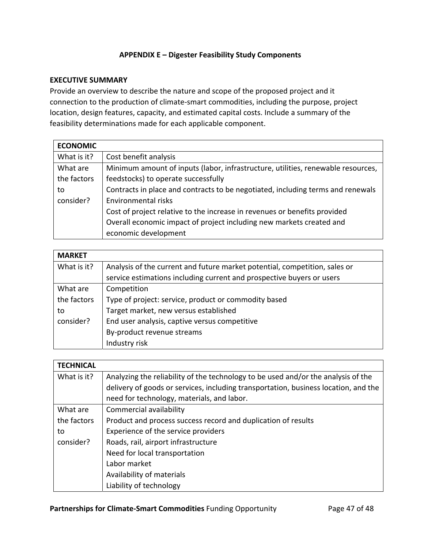# **APPENDIX E – Digester Feasibility Study Components**

#### **EXECUTIVE SUMMARY**

Provide an overview to describe the nature and scope of the proposed project and it connection to the production of climate‐smart commodities, including the purpose, project location, design features, capacity, and estimated capital costs. Include a summary of the feasibility determinations made for each applicable component.

| <b>ECONOMIC</b> |                                                                                  |
|-----------------|----------------------------------------------------------------------------------|
| What is it?     | Cost benefit analysis                                                            |
| What are        | Minimum amount of inputs (labor, infrastructure, utilities, renewable resources, |
| the factors     | feedstocks) to operate successfully                                              |
| to              | Contracts in place and contracts to be negotiated, including terms and renewals  |
| consider?       | Environmental risks                                                              |
|                 | Cost of project relative to the increase in revenues or benefits provided        |
|                 | Overall economic impact of project including new markets created and             |
|                 | economic development                                                             |

| <b>MARKET</b> |                                                                            |  |
|---------------|----------------------------------------------------------------------------|--|
| What is it?   | Analysis of the current and future market potential, competition, sales or |  |
|               | service estimations including current and prospective buyers or users      |  |
| What are      | Competition                                                                |  |
| the factors   | Type of project: service, product or commodity based                       |  |
| to            | Target market, new versus established                                      |  |
| consider?     | End user analysis, captive versus competitive                              |  |
|               | By-product revenue streams                                                 |  |
|               | Industry risk                                                              |  |

| <b>TECHNICAL</b> |                                                                                     |
|------------------|-------------------------------------------------------------------------------------|
| What is it?      | Analyzing the reliability of the technology to be used and/or the analysis of the   |
|                  | delivery of goods or services, including transportation, business location, and the |
|                  | need for technology, materials, and labor.                                          |
| What are         | Commercial availability                                                             |
| the factors      | Product and process success record and duplication of results                       |
| to               | Experience of the service providers                                                 |
| consider?        | Roads, rail, airport infrastructure                                                 |
|                  | Need for local transportation                                                       |
|                  | Labor market                                                                        |
|                  | Availability of materials                                                           |
|                  | Liability of technology                                                             |